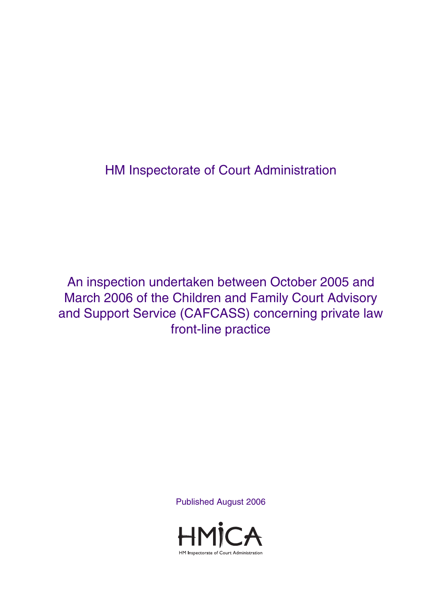HM Inspectorate of Court Administration

An inspection undertaken between October 2005 and March 2006 of the Children and Family Court Advisory and Support Service (CAFCASS) concerning private law front-line practice

Published August 2006

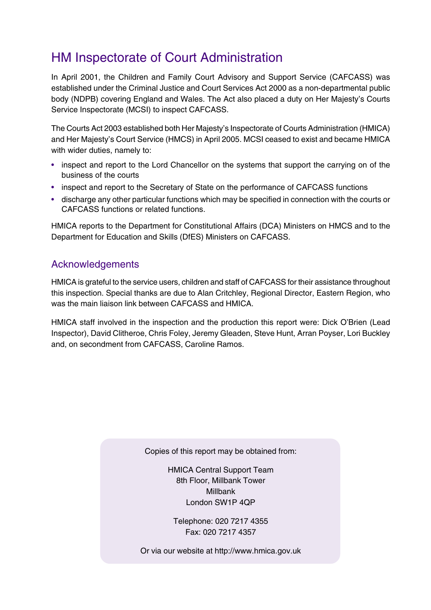# HM Inspectorate of Court Administration

In April 2001, the Children and Family Court Advisory and Support Service (CAFCASS) was established under the Criminal Justice and Court Services Act 2000 as a non-departmental public body (NDPB) covering England and Wales. The Act also placed a duty on Her Majesty's Courts Service Inspectorate (MCSI) to inspect CAFCASS.

The Courts Act 2003 established both Her Majesty's Inspectorate of Courts Administration (HMICA) and Her Majesty's Court Service (HMCS) in April 2005. MCSI ceased to exist and became HMICA with wider duties, namely to:

- inspect and report to the Lord Chancellor on the systems that support the carrying on of the business of the courts
- inspect and report to the Secretary of State on the performance of CAFCASS functions
- discharge any other particular functions which may be specified in connection with the courts or CAFCASS functions or related functions.

HMICA reports to the Department for Constitutional Affairs (DCA) Ministers on HMCS and to the Department for Education and Skills (DfES) Ministers on CAFCASS.

### Acknowledgements

HMICA is grateful to the service users, children and staff of CAFCASS for their assistance throughout this inspection. Special thanks are due to Alan Critchley, Regional Director, Eastern Region, who was the main liaison link between CAFCASS and HMICA

HMICA staff involved in the inspection and the production this report were: Dick O'Brien (Lead Inspector), David Clitheroe, Chris Foley, Jeremy Gleaden, Steve Hunt, Arran Poyser, Lori Buckley and, on secondment from CAFCASS, Caroline Ramos.

Copies of this report may be obtained from:

HMICA Central Support Team 8th Floor, Millbank Tower Millbank London SW1P 4QP

Telephone: 020 7217 4355 Fax: 020 7217 4357

Or via our website at http://www.hmica.gov.uk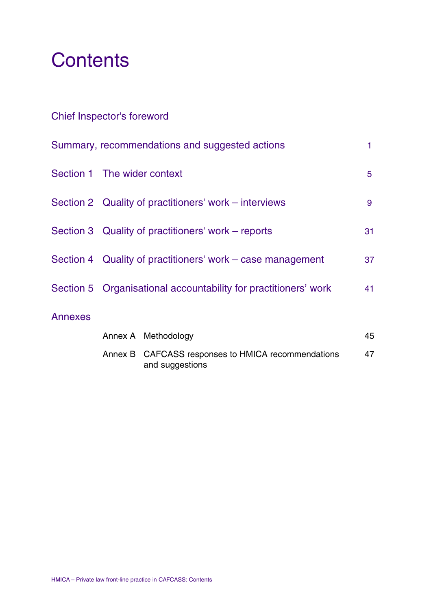# **Contents**

## Chief Inspector's foreword

| Summary, recommendations and suggested actions |                                                                 |                                                                       | 1  |
|------------------------------------------------|-----------------------------------------------------------------|-----------------------------------------------------------------------|----|
|                                                | Section 1 The wider context                                     |                                                                       |    |
|                                                | Section 2 Quality of practitioners' work – interviews           |                                                                       |    |
|                                                | Section 3 Quality of practitioners' work – reports              |                                                                       |    |
|                                                | Section 4 Quality of practitioners' work – case management      |                                                                       | 37 |
|                                                | Section 5 Organisational accountability for practitioners' work |                                                                       | 41 |
| <b>Annexes</b>                                 |                                                                 |                                                                       |    |
|                                                |                                                                 | Annex A Methodology                                                   | 45 |
|                                                |                                                                 | Annex B CAFCASS responses to HMICA recommendations<br>and suggestions | 47 |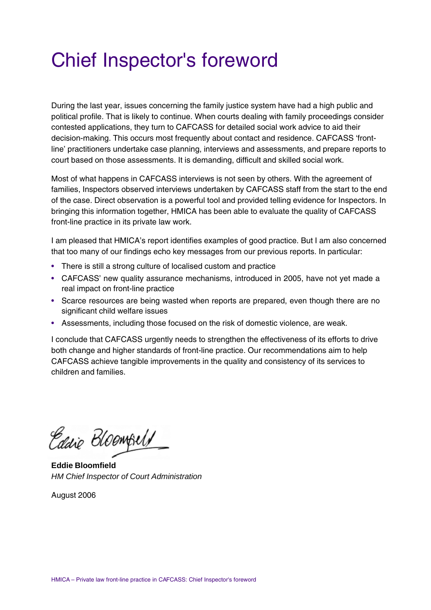# Chief Inspector's foreword

During the last year, issues concerning the family justice system have had a high public and political profile. That is likely to continue. When courts dealing with family proceedings consider contested applications, they turn to CAFCASS for detailed social work advice to aid their decision-making. This occurs most frequently about contact and residence. CAFCASS 'frontline' practitioners undertake case planning, interviews and assessments, and prepare reports to court based on those assessments. It is demanding, difficult and skilled social work.

Most of what happens in CAFCASS interviews is not seen by others. With the agreement of families, Inspectors observed interviews undertaken by CAFCASS staff from the start to the end of the case. Direct observation is a powerful tool and provided telling evidence for Inspectors. In bringing this information together, HMICA has been able to evaluate the quality of CAFCASS front-line practice in its private law work.

I am pleased that HMICA's report identifies examples of good practice. But I am also concerned that too many of our findings echo key messages from our previous reports. In particular:

- There is still a strong culture of localised custom and practice
- CAFCASS' new quality assurance mechanisms, introduced in 2005, have not yet made a real impact on front-line practice
- Scarce resources are being wasted when reports are prepared, even though there are no significant child welfare issues
- Assessments, including those focused on the risk of domestic violence, are weak.

I conclude that CAFCASS urgently needs to strengthen the effectiveness of its efforts to drive both change and higher standards of front-line practice. Our recommendations aim to help CAFCASS achieve tangible improvements in the quality and consistency of its services to children and families.

Eddie Bloomfield

**Eddie Bloomfield** *HM Chief Inspector of Court Administration*

August 2006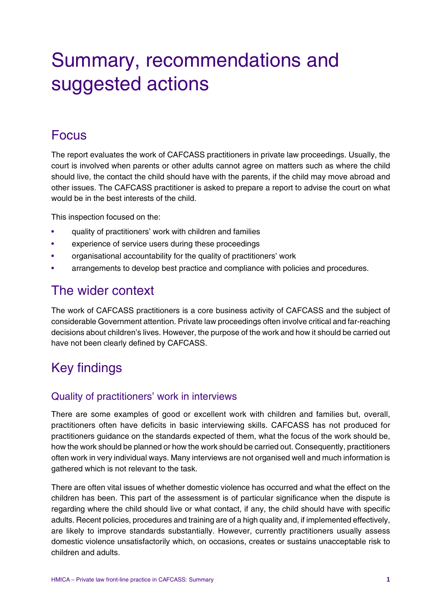# Summary, recommendations and suggested actions

## Focus

The report evaluates the work of CAFCASS practitioners in private law proceedings. Usually, the court is involved when parents or other adults cannot agree on matters such as where the child should live, the contact the child should have with the parents, if the child may move abroad and other issues. The CAFCASS practitioner is asked to prepare a report to advise the court on what would be in the best interests of the child.

This inspection focused on the:

- quality of practitioners' work with children and families
- experience of service users during these proceedings
- organisational accountability for the quality of practitioners' work
- arrangements to develop best practice and compliance with policies and procedures.

## The wider context

The work of CAFCASS practitioners is a core business activity of CAFCASS and the subject of considerable Government attention. Private law proceedings often involve critical and far-reaching decisions about children's lives. However, the purpose of the work and how it should be carried out have not been clearly defined by CAFCASS.

# Key findings

### Quality of practitioners' work in interviews

There are some examples of good or excellent work with children and families but, overall, practitioners often have deficits in basic interviewing skills. CAFCASS has not produced for practitioners guidance on the standards expected of them, what the focus of the work should be, how the work should be planned or how the work should be carried out. Consequently, practitioners often work in very individual ways. Many interviews are not organised well and much information is gathered which is not relevant to the task.

There are often vital issues of whether domestic violence has occurred and what the effect on the children has been. This part of the assessment is of particular significance when the dispute is regarding where the child should live or what contact, if any, the child should have with specific adults. Recent policies, procedures and training are of a high quality and, if implemented effectively, are likely to improve standards substantially. However, currently practitioners usually assess domestic violence unsatisfactorily which, on occasions, creates or sustains unacceptable risk to children and adults.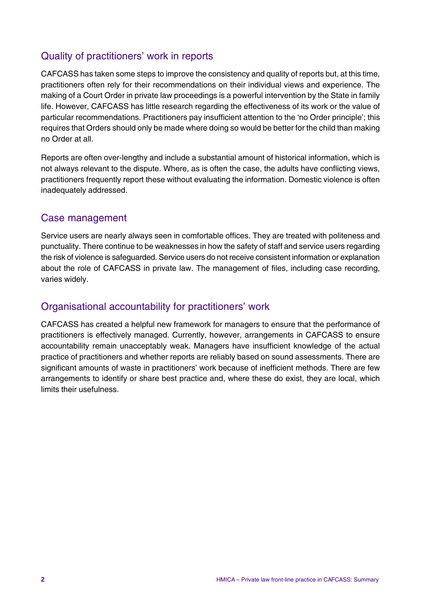## Quality of practitioners' work in reports

CAFCASS has taken some steps to improve the consistency and quality of reports but, at this time, practitioners often rely for their recommendations on their individual views and experience. The making of a Court Order in private law proceedings is a powerful intervention by the State in family life. However, CAFCASS has little research regarding the effectiveness of its work or the value of particular recommendations. Practitioners pay insufficient attention to the 'no Order principle'; this requires that Orders should only be made where doing so would be better for the child than making no Order at all.

Reports are often over-lengthy and include a substantial amount of historical information, which is not always relevant to the dispute. Where, as is often the case, the adults have conflicting views, practitioners frequently report these without evaluating the information. Domestic violence is often inadequately addressed.

### Case management

Service users are nearly always seen in comfortable offices. They are treated with politeness and punctuality. There continue to be weaknesses in how the safety of staff and service users regarding the risk of violence is safeguarded. Service users do not receive consistent information or explanation about the role of CAFCASS in private law. The management of files, including case recording, varies widely.

### Organisational accountability for practitioners' work

CAFCASS has created a helpful new framework for managers to ensure that the performance of practitioners is effectively managed. Currently, however, arrangements in CAFCASS to ensure accountability remain unacceptably weak. Managers have insufficient knowledge of the actual practice of practitioners and whether reports are reliably based on sound assessments. There are significant amounts of waste in practitioners' work because of inefficient methods. There are few arrangements to identify or share best practice and, where these do exist, they are local, which limits their usefulness.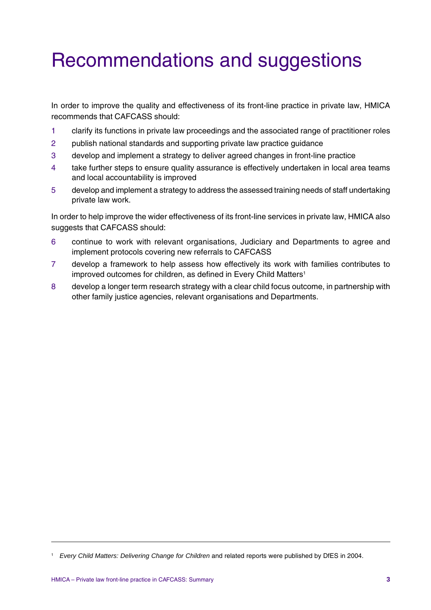# Recommendations and suggestions

In order to improve the quality and effectiveness of its front-line practice in private law, HMICA recommends that CAFCASS should:

- 1 clarify its functions in private law proceedings and the associated range of practitioner roles
- 2 publish national standards and supporting private law practice guidance
- 3 develop and implement a strategy to deliver agreed changes in front-line practice
- 4 take further steps to ensure quality assurance is effectively undertaken in local area teams and local accountability is improved
- 5 develop and implement a strategy to address the assessed training needs of staff undertaking private law work.

In order to help improve the wider effectiveness of its front-line services in private law, HMICA also suggests that CAFCASS should:

- 6 continue to work with relevant organisations, Judiciary and Departments to agree and implement protocols covering new referrals to CAFCASS
- 7 develop a framework to help assess how effectively its work with families contributes to improved outcomes for children, as defined in Every Child Matters<sup>1</sup>
- 8 develop a longer term research strategy with a clear child focus outcome, in partnership with other family justice agencies, relevant organisations and Departments.

<sup>1</sup> *Every Child Matters: Delivering Change for Children* and related reports were published by DfES in 2004.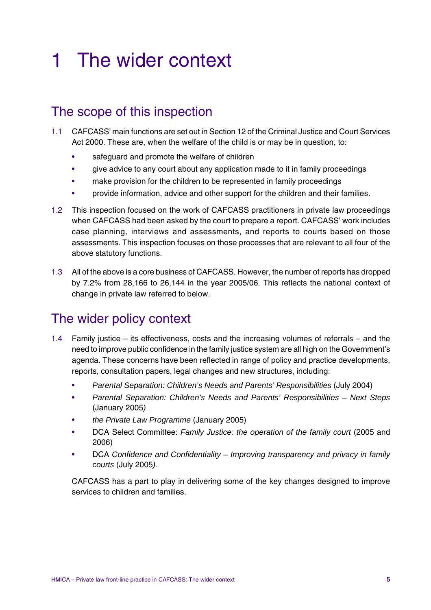# 1 The wider context

## The scope of this inspection

- 1.1 CAFCASS' main functions are set out in Section 12 of the Criminal Justice and Court Services Act 2000. These are, when the welfare of the child is or may be in question, to:
	- safeguard and promote the welfare of children
	- give advice to any court about any application made to it in family proceedings
	- make provision for the children to be represented in family proceedings
	- provide information, advice and other support for the children and their families.
- 1.2 This inspection focused on the work of CAFCASS practitioners in private law proceedings when CAFCASS had been asked by the court to prepare a report. CAFCASS' work includes case planning, interviews and assessments, and reports to courts based on those assessments. This inspection focuses on those processes that are relevant to all four of the above statutory functions.
- 1.3 All of the above is a core business of CAFCASS. However, the number of reports has dropped by 7.2% from 28,166 to 26,144 in the year 2005/06. This reflects the national context of change in private law referred to below.

# The wider policy context

- 1.4 Family justice its effectiveness, costs and the increasing volumes of referrals and the need to improve public confidence in the family justice system are all high on the Government's agenda. These concerns have been reflected in range of policy and practice developments, reports, consultation papers, legal changes and new structures, including:
	- *Parental Separation: Children's Needs and Parents' Responsibilities* (July 2004)
	- *Parental Separation: Children's Needs and Parents' Responsibilities Next Steps* (January 2005*)*
	- *the Private Law Programme* (January 2005)
	- DCA Select Committee: *Family Justice: the operation of the family court* (2005 and 2006)
	- DCA *Confidence and Confidentiality Improving transparency and privacy in family courts* (July 2005*).*

CAFCASS has a part to play in delivering some of the key changes designed to improve services to children and families.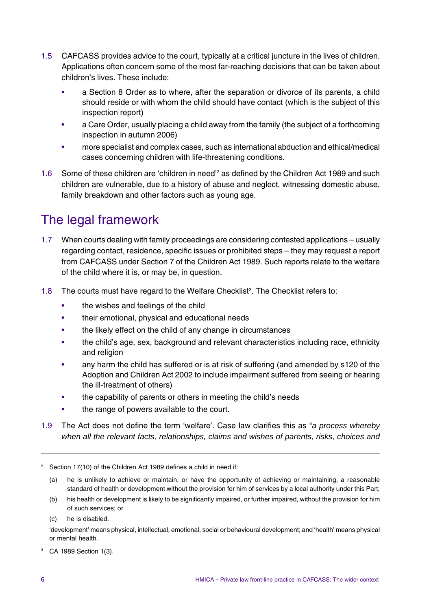- 1.5 CAFCASS provides advice to the court, typically at a critical juncture in the lives of children. Applications often concern some of the most far-reaching decisions that can be taken about children's lives. These include:
	- a Section 8 Order as to where, after the separation or divorce of its parents, a child should reside or with whom the child should have contact (which is the subject of this inspection report)
	- a Care Order, usually placing a child away from the family (the subject of a forthcoming inspection in autumn 2006)
	- more specialist and complex cases, such as international abduction and ethical/medical cases concerning children with life-threatening conditions.
- 1.6 Some of these children are 'children in need<sup>'2</sup> as defined by the Children Act 1989 and such children are vulnerable, due to a history of abuse and neglect, witnessing domestic abuse, family breakdown and other factors such as young age.

# The legal framework

- 1.7 When courts dealing with family proceedings are considering contested applications usually regarding contact, residence, specific issues or prohibited steps – they may request a report from CAFCASS under Section 7 of the Children Act 1989. Such reports relate to the welfare of the child where it is, or may be, in question.
- 1.8 The courts must have regard to the Welfare Checklist<sup>3</sup>. The Checklist refers to:
	- the wishes and feelings of the child
	- their emotional, physical and educational needs
	- the likely effect on the child of any change in circumstances
	- the child's age, sex, background and relevant characteristics including race, ethnicity and religion
	- any harm the child has suffered or is at risk of suffering (and amended by s120 of the Adoption and Children Act 2002 to include impairment suffered from seeing or hearing the ill-treatment of others)
	- the capability of parents or others in meeting the child's needs
	- the range of powers available to the court.
- 1.9 The Act does not define the term 'welfare'. Case law clarifies this as "*a process whereby when all the relevant facts, relationships, claims and wishes of parents, risks, choices and*

- (a) he is unlikely to achieve or maintain, or have the opportunity of achieving or maintaining, a reasonable standard of health or development without the provision for him of services by a local authority under this Part;
- (b) his health or development is likely to be significantly impaired, or further impaired, without the provision for him of such services; or

(c) he is disabled.

'development' means physical, intellectual, emotional, social or behavioural development; and 'health' means physical or mental health.

<sup>3</sup> CA 1989 Section 1(3).

<sup>&</sup>lt;sup>2</sup> Section 17(10) of the Children Act 1989 defines a child in need if: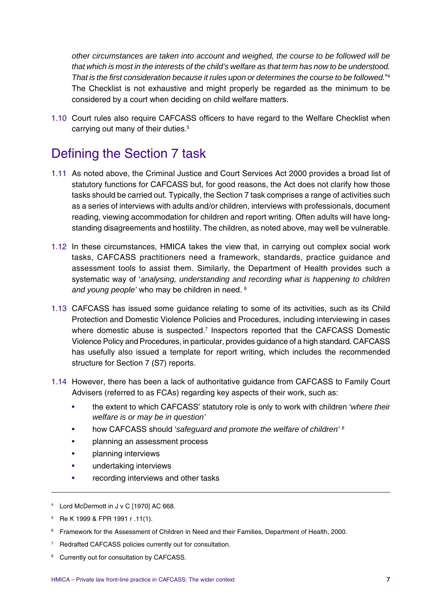*other circumstances are taken into account and weighed, the course to be followed will be that which is most in the interests of the child's welfare as that term has now to be understood. That is the first consideration because it rules upon or determines the course to be followed.*" 4 The Checklist is not exhaustive and might properly be regarded as the minimum to be considered by a court when deciding on child welfare matters.

1.10 Court rules also require CAFCASS officers to have regard to the Welfare Checklist when carrying out many of their duties.<sup>5</sup>

# Defining the Section 7 task

- 1.11 As noted above, the Criminal Justice and Court Services Act 2000 provides a broad list of statutory functions for CAFCASS but, for good reasons, the Act does not clarify how those tasks should be carried out. Typically, the Section 7 task comprises a range of activities such as a series of interviews with adults and/or children, interviews with professionals, document reading, viewing accommodation for children and report writing. Often adults will have longstanding disagreements and hostility. The children, as noted above, may well be vulnerable.
- 1.12 In these circumstances, HMICA takes the view that, in carrying out complex social work tasks, CAFCASS practitioners need a framework, standards, practice guidance and assessment tools to assist them. Similarly, the Department of Health provides such a systematic way of '*analysing, understanding and recording what is happening to children and young people'* who may be children in need. 6
- 1.13 CAFCASS has issued some guidance relating to some of its activities, such as its Child Protection and Domestic Violence Policies and Procedures, including interviewing in cases where domestic abuse is suspected.<sup>7</sup> Inspectors reported that the CAFCASS Domestic Violence Policy and Procedures, in particular, provides guidance of a high standard. CAFCASS has usefully also issued a template for report writing, which includes the recommended structure for Section 7 (S7) reports.
- 1.14 However, there has been a lack of authoritative guidance from CAFCASS to Family Court Advisers (referred to as FCAs) regarding key aspects of their work, such as:
	- the extent to which CAFCASS' statutory role is only to work with children '*where their welfare is or may be in question'*
	- how CAFCASS should '*safeguard and promote the welfare of children' 8*
	- planning an assessment process
	- planning interviews
	- undertaking interviews
	- recording interviews and other tasks
- <sup>4</sup> Lord McDermott in J v C [1970] AC 668.
- <sup>5</sup> Re K 1999 & FPR 1991 r .11(1).
- <sup>6</sup> Framework for the Assessment of Children in Need and their Families, Department of Health, 2000.
- <sup>7</sup> Redrafted CAFCASS policies currently out for consultation.
- Currently out for consultation by CAFCASS.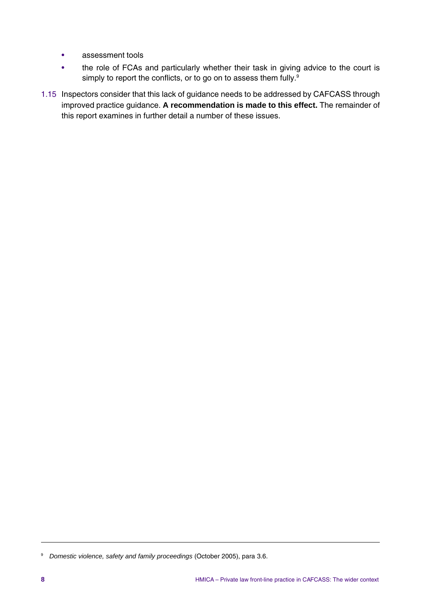- assessment tools
- the role of FCAs and particularly whether their task in giving advice to the court is simply to report the conflicts, or to go on to assess them fully.<sup>9</sup>
- 1.15 Inspectors consider that this lack of guidance needs to be addressed by CAFCASS through improved practice guidance. **A recommendation is made to this effect.** The remainder of this report examines in further detail a number of these issues.

<sup>9</sup> *Domestic violence, safety and family proceedings* (October 2005), para 3.6.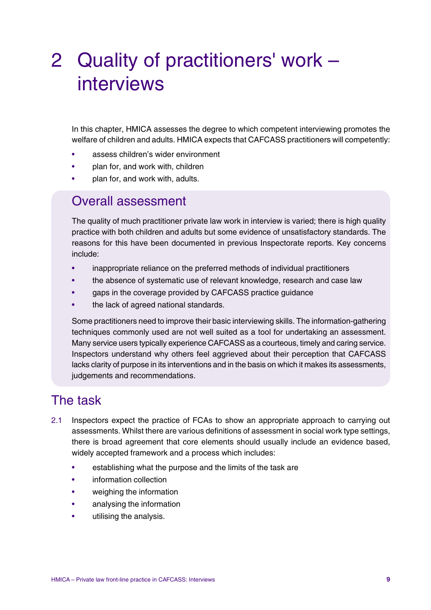# 2 Quality of practitioners' work – interviews

In this chapter, HMICA assesses the degree to which competent interviewing promotes the welfare of children and adults. HMICA expects that CAFCASS practitioners will competently:

- assess children's wider environment
- plan for, and work with, children
- plan for, and work with, adults.

## Overall assessment

The quality of much practitioner private law work in interview is varied; there is high quality practice with both children and adults but some evidence of unsatisfactory standards. The reasons for this have been documented in previous Inspectorate reports. Key concerns include:

- inappropriate reliance on the preferred methods of individual practitioners
- the absence of systematic use of relevant knowledge, research and case law
- gaps in the coverage provided by CAFCASS practice guidance
- the lack of agreed national standards.

Some practitioners need to improve their basic interviewing skills. The information-gathering techniques commonly used are not well suited as a tool for undertaking an assessment. Many service users typically experience CAFCASS as a courteous, timely and caring service. Inspectors understand why others feel aggrieved about their perception that CAFCASS lacks clarity of purpose in its interventions and in the basis on which it makes its assessments, judgements and recommendations.

## The task

- 2.1 Inspectors expect the practice of FCAs to show an appropriate approach to carrying out assessments. Whilst there are various definitions of assessment in social work type settings, there is broad agreement that core elements should usually include an evidence based, widely accepted framework and a process which includes:
	- establishing what the purpose and the limits of the task are
	- information collection
	- weighing the information
	- analysing the information
	- utilising the analysis.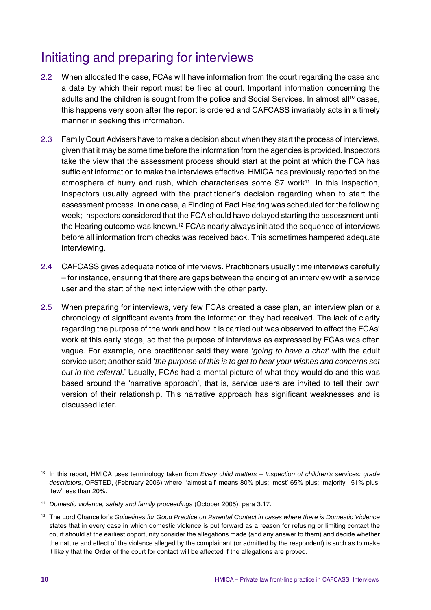# Initiating and preparing for interviews

- 2.2 When allocated the case, FCAs will have information from the court regarding the case and a date by which their report must be filed at court. Important information concerning the adults and the children is sought from the police and Social Services. In almost all<sup>10</sup> cases, this happens very soon after the report is ordered and CAFCASS invariably acts in a timely manner in seeking this information.
- 2.3 Family Court Advisers have to make a decision about when they start the process of interviews, given that it may be some time before the information from the agencies is provided. Inspectors take the view that the assessment process should start at the point at which the FCA has sufficient information to make the interviews effective. HMICA has previously reported on the atmosphere of hurry and rush, which characterises some S7 work<sup>11</sup>. In this inspection, Inspectors usually agreed with the practitioner's decision regarding when to start the assessment process. In one case, a Finding of Fact Hearing was scheduled for the following week; Inspectors considered that the FCA should have delayed starting the assessment until the Hearing outcome was known.<sup>12</sup> FCAs nearly always initiated the sequence of interviews before all information from checks was received back. This sometimes hampered adequate interviewing.
- 2.4 CAFCASS gives adequate notice of interviews. Practitioners usually time interviews carefully – for instance, ensuring that there are gaps between the ending of an interview with a service user and the start of the next interview with the other party.
- 2.5 When preparing for interviews, very few FCAs created a case plan, an interview plan or a chronology of significant events from the information they had received. The lack of clarity regarding the purpose of the work and how it is carried out was observed to affect the FCAs' work at this early stage, so that the purpose of interviews as expressed by FCAs was often vague. For example, one practitioner said they were '*going to have a chat'* with the adult service user; another said '*the purpose of this is to get to hear your wishes and concerns set out in the referral*.' Usually, FCAs had a mental picture of what they would do and this was based around the 'narrative approach', that is, service users are invited to tell their own version of their relationship. This narrative approach has significant weaknesses and is discussed later.

<sup>10</sup> In this report, HMICA uses terminology taken from *Every child matters – Inspection of children's services: grade descriptors*, OFSTED, (February 2006) where, 'almost all' means 80% plus; 'most' 65% plus; 'majority ' 51% plus; 'few' less than 20%.

<sup>11</sup> *Domestic violence, safety and family proceedings* (October 2005), para 3.17.

<sup>12</sup> The Lord Chancellor's *Guidelines for Good Practice on Parental Contact in cases where there is Domestic Violence* states that in every case in which domestic violence is put forward as a reason for refusing or limiting contact the court should at the earliest opportunity consider the allegations made (and any answer to them) and decide whether the nature and effect of the violence alleged by the complainant (or admitted by the respondent) is such as to make it likely that the Order of the court for contact will be affected if the allegations are proved.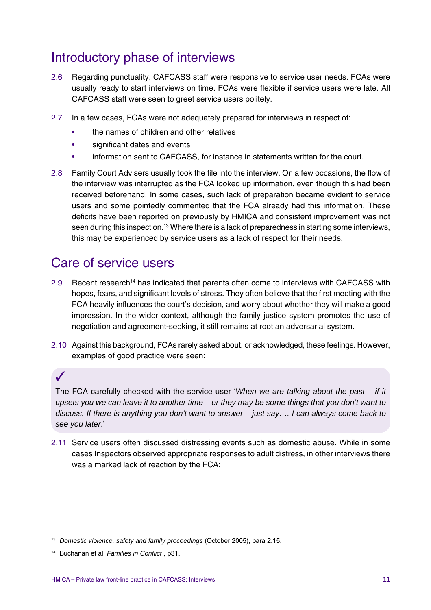# Introductory phase of interviews

- 2.6 Regarding punctuality, CAFCASS staff were responsive to service user needs. FCAs were usually ready to start interviews on time. FCAs were flexible if service users were late. All CAFCASS staff were seen to greet service users politely.
- 2.7 In a few cases, FCAs were not adequately prepared for interviews in respect of:
	- the names of children and other relatives
	- significant dates and events
	- information sent to CAFCASS, for instance in statements written for the court.
- 2.8 Family Court Advisers usually took the file into the interview. On a few occasions, the flow of the interview was interrupted as the FCA looked up information, even though this had been received beforehand. In some cases, such lack of preparation became evident to service users and some pointedly commented that the FCA already had this information. These deficits have been reported on previously by HMICA and consistent improvement was not seen during this inspection.<sup>13</sup> Where there is a lack of preparedness in starting some interviews, this may be experienced by service users as a lack of respect for their needs.

## Care of service users

- 2.9 Recent research14 has indicated that parents often come to interviews with CAFCASS with hopes, fears, and significant levels of stress. They often believe that the first meeting with the FCA heavily influences the court's decision, and worry about whether they will make a good impression. In the wider context, although the family justice system promotes the use of negotiation and agreement-seeking, it still remains at root an adversarial system.
- 2.10 Against this background, FCAs rarely asked about, or acknowledged, these feelings. However, examples of good practice were seen:

✓

The FCA carefully checked with the service user '*When we are talking about the past – if it upsets you we can leave it to another time – or they may be some things that you don't want to discuss. If there is anything you don't want to answer – just say…. I can always come back to see you later*.'

2.11 Service users often discussed distressing events such as domestic abuse. While in some cases Inspectors observed appropriate responses to adult distress, in other interviews there was a marked lack of reaction by the FCA:

<sup>13</sup> *Domestic violence, safety and family proceedings* (October 2005), para 2.15.

<sup>14</sup> Buchanan et al, *Families in Conflict* , p31.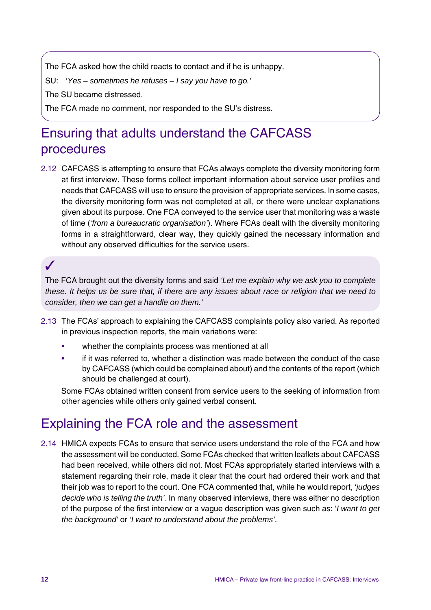The FCA asked how the child reacts to contact and if he is unhappy.

SU: '*Yes – sometimes he refuses – I say you have to go.'*

The SU became distressed.

The FCA made no comment, nor responded to the SU's distress.

# Ensuring that adults understand the CAFCASS procedures

2.12 CAFCASS is attempting to ensure that FCAs always complete the diversity monitoring form at first interview. These forms collect important information about service user profiles and needs that CAFCASS will use to ensure the provision of appropriate services. In some cases, the diversity monitoring form was not completed at all, or there were unclear explanations given about its purpose. One FCA conveyed to the service user that monitoring was a waste of time ('*from a bureaucratic organisation'*). Where FCAs dealt with the diversity monitoring forms in a straightforward, clear way, they quickly gained the necessary information and without any observed difficulties for the service users.

✓

The FCA brought out the diversity forms and said *'Let me explain why we ask you to complete these. It helps us be sure that, if there are any issues about race or religion that we need to consider, then we can get a handle on them.'*

- 2.13 The FCAs' approach to explaining the CAFCASS complaints policy also varied. As reported in previous inspection reports, the main variations were:
	- whether the complaints process was mentioned at all
	- if it was referred to, whether a distinction was made between the conduct of the case by CAFCASS (which could be complained about) and the contents of the report (which should be challenged at court).

Some FCAs obtained written consent from service users to the seeking of information from other agencies while others only gained verbal consent.

## Explaining the FCA role and the assessment

2.14 HMICA expects FCAs to ensure that service users understand the role of the FCA and how the assessment will be conducted. Some FCAs checked that written leaflets about CAFCASS had been received, while others did not. Most FCAs appropriately started interviews with a statement regarding their role, made it clear that the court had ordered their work and that their job was to report to the court. One FCA commented that, while he would report, '*judges decide who is telling the truth'.* In many observed interviews, there was either no description of the purpose of the first interview or a vague description was given such as: '*I want to get the background'* or *'I want to understand about the problems'*.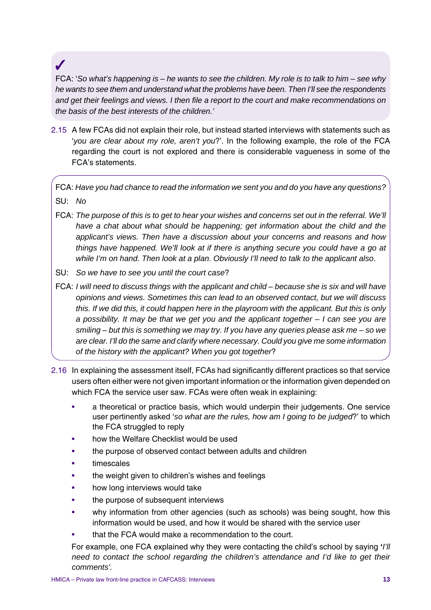## ✓

FCA: '*So what's happening is – he wants to see the children. My role is to talk to him – see why he wants to see them and understand what the problems have been. Then I'll see the respondents and get their feelings and views. I then file a report to the court and make recommendations on the basis of the best interests of the children.'*

2.15 A few FCAs did not explain their role, but instead started interviews with statements such as '*you are clear about my role, aren't you*?'. In the following example, the role of the FCA regarding the court is not explored and there is considerable vagueness in some of the FCA's statements.

FCA: *Have you had chance to read the information we sent you and do you have any questions?*

- SU: *No*
- FCA: *The purpose of this is to get to hear your wishes and concerns set out in the referral. We'll have a chat about what should be happening; get information about the child and the applicant's views. Then have a discussion about your concerns and reasons and how things have happened. We'll look at if there is anything secure you could have a go at while I'm on hand. Then look at a plan. Obviously I'll need to talk to the applicant also*.
- SU: *So we have to see you until the court case*?

FCA: *I will need to discuss things with the applicant and child – because she is six and will have opinions and views. Sometimes this can lead to an observed contact, but we will discuss this. If we did this, it could happen here in the playroom with the applicant. But this is only a possibility. It may be that we get you and the applicant together – I can see you are smiling – but this is something we may try. If you have any queries please ask me – so we are clear. I'll do the same and clarify where necessary. Could you give me some information of the history with the applicant? When you got together*?

- 2.16 In explaining the assessment itself, FCAs had significantly different practices so that service users often either were not given important information or the information given depended on which FCA the service user saw. FCAs were often weak in explaining:
	- a theoretical or practice basis, which would underpin their judgements. One service user pertinently asked '*so what are the rules, how am I going to be judged*?' to which the FCA struggled to reply
	- how the Welfare Checklist would be used
	- the purpose of observed contact between adults and children
	- **timescales**
	- the weight given to children's wishes and feelings
	- how long interviews would take
	- the purpose of subsequent interviews
	- why information from other agencies (such as schools) was being sought, how this information would be used, and how it would be shared with the service user
	- that the FCA would make a recommendation to the court.

For example, one FCA explained why they were contacting the child's school by saying **'***I'll need to contact the school regarding the children's attendance and I'd like to get their comments'.*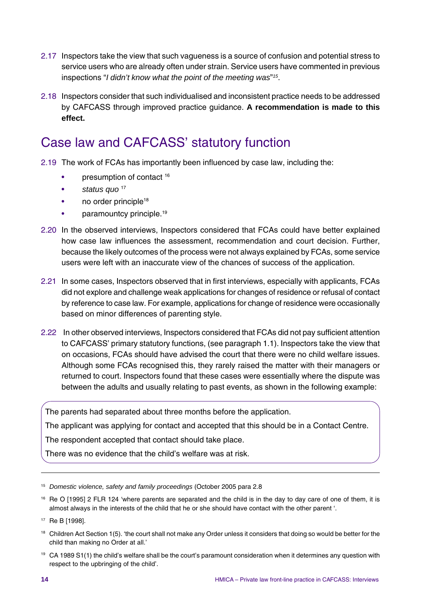- 2.17 Inspectors take the view that such vagueness is a source of confusion and potential stress to service users who are already often under strain. Service users have commented in previous inspections "*I didn't know what the point of the meeting was*"*<sup>15</sup>*.
- 2.18 Inspectors consider that such individualised and inconsistent practice needs to be addressed by CAFCASS through improved practice guidance. **A recommendation is made to this effect.**

# Case law and CAFCASS' statutory function

- 2.19 The work of FCAs has importantly been influenced by case law, including the:
	- presumption of contact 16
	- *status quo* <sup>17</sup>
	- no order principle<sup>18</sup>
	- paramountcy principle.<sup>19</sup>
- 2.20 In the observed interviews, Inspectors considered that FCAs could have better explained how case law influences the assessment, recommendation and court decision. Further, because the likely outcomes of the process were not always explained by FCAs, some service users were left with an inaccurate view of the chances of success of the application.
- 2.21 In some cases, Inspectors observed that in first interviews, especially with applicants, FCAs did not explore and challenge weak applications for changes of residence or refusal of contact by reference to case law. For example, applications for change of residence were occasionally based on minor differences of parenting style.
- 2.22 In other observed interviews, Inspectors considered that FCAs did not pay sufficient attention to CAFCASS' primary statutory functions, (see paragraph 1.1). Inspectors take the view that on occasions, FCAs should have advised the court that there were no child welfare issues. Although some FCAs recognised this, they rarely raised the matter with their managers or returned to court. Inspectors found that these cases were essentially where the dispute was between the adults and usually relating to past events, as shown in the following example:

The parents had separated about three months before the application.

The applicant was applying for contact and accepted that this should be in a Contact Centre.

The respondent accepted that contact should take place.

There was no evidence that the child's welfare was at risk.

- <sup>18</sup> Children Act Section 1(5). 'the court shall not make any Order unless it considers that doing so would be better for the child than making no Order at all.'
- <sup>19</sup> CA 1989 S1(1) the child's welfare shall be the court's paramount consideration when it determines any question with respect to the upbringing of the child'.

<sup>15</sup> *Domestic violence, safety and family proceedings* (October 2005 para 2.8

<sup>&</sup>lt;sup>16</sup> Re O [1995] 2 FLR 124 'where parents are separated and the child is in the day to day care of one of them, it is almost always in the interests of the child that he or she should have contact with the other parent '.

<sup>17</sup> Re B [1998].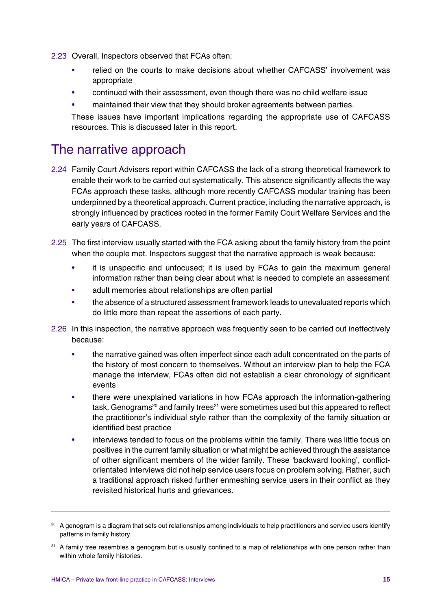- 2.23 Overall, Inspectors observed that FCAs often:
	- relied on the courts to make decisions about whether CAFCASS' involvement was appropriate
	- continued with their assessment, even though there was no child welfare issue
	- maintained their view that they should broker agreements between parties.

These issues have important implications regarding the appropriate use of CAFCASS resources. This is discussed later in this report.

## The narrative approach

- 2.24 Family Court Advisers report within CAFCASS the lack of a strong theoretical framework to enable their work to be carried out systematically. This absence significantly affects the way FCAs approach these tasks, although more recently CAFCASS modular training has been underpinned by a theoretical approach. Current practice, including the narrative approach, is strongly influenced by practices rooted in the former Family Court Welfare Services and the early years of CAFCASS.
- 2.25 The first interview usually started with the FCA asking about the family history from the point when the couple met. Inspectors suggest that the narrative approach is weak because:
	- it is unspecific and unfocused; it is used by FCAs to gain the maximum general information rather than being clear about what is needed to complete an assessment
	- adult memories about relationships are often partial
	- the absence of a structured assessment framework leads to unevaluated reports which do little more than repeat the assertions of each party.
- 2.26 In this inspection, the narrative approach was frequently seen to be carried out ineffectively because:
	- the narrative gained was often imperfect since each adult concentrated on the parts of the history of most concern to themselves. Without an interview plan to help the FCA manage the interview, FCAs often did not establish a clear chronology of significant events
	- there were unexplained variations in how FCAs approach the information-gathering task. Genograms<sup>20</sup> and family trees<sup>21</sup> were sometimes used but this appeared to reflect the practitioner's individual style rather than the complexity of the family situation or identified best practice
	- interviews tended to focus on the problems within the family. There was little focus on positives in the current family situation or what might be achieved through the assistance of other significant members of the wider family. These 'backward looking', conflictorientated interviews did not help service users focus on problem solving. Rather, such a traditional approach risked further enmeshing service users in their conflict as they revisited historical hurts and grievances.

<sup>&</sup>lt;sup>20</sup> A genogram is a diagram that sets out relationships among individuals to help practitioners and service users identify patterns in family history.

<sup>&</sup>lt;sup>21</sup> A family tree resembles a genogram but is usually confined to a map of relationships with one person rather than within whole family histories.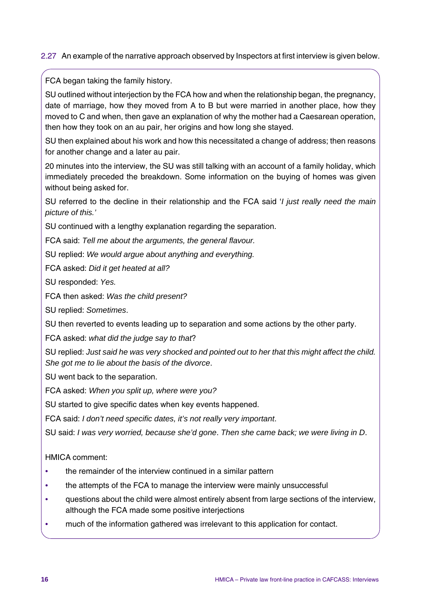#### 2.27 An example of the narrative approach observed by Inspectors at first interview is given below.

FCA began taking the family history.

SU outlined without interjection by the FCA how and when the relationship began, the pregnancy, date of marriage, how they moved from A to B but were married in another place, how they moved to C and when, then gave an explanation of why the mother had a Caesarean operation, then how they took on an au pair, her origins and how long she stayed.

SU then explained about his work and how this necessitated a change of address; then reasons for another change and a later au pair.

20 minutes into the interview, the SU was still talking with an account of a family holiday, which immediately preceded the breakdown. Some information on the buying of homes was given without being asked for.

SU referred to the decline in their relationship and the FCA said '*I just really need the main picture of this.'*

SU continued with a lengthy explanation regarding the separation.

FCA said: *Tell me about the arguments, the general flavour.*

SU replied: *We would argue about anything and everything.*

FCA asked: *Did it get heated at all?*

SU responded: *Yes.*

FCA then asked: *Was the child present?*

SU replied: *Sometimes*.

SU then reverted to events leading up to separation and some actions by the other party.

FCA asked: *what did the judge say to that*?

SU replied: *Just said he was very shocked and pointed out to her that this might affect the child. She got me to lie about the basis of the divorce*.

SU went back to the separation.

FCA asked: *When you split up, where were you?*

SU started to give specific dates when key events happened.

FCA said: *I don't need specific dates, it's not really very important*.

SU said: *I was very worried, because she'd gone*. *Then she came back; we were living in D*.

HMICA comment:

- *•* the remainder of the interview continued in a similar pattern
- *•* the attempts of the FCA to manage the interview were mainly unsuccessful
- *•* questions about the child were almost entirely absent from large sections of the interview, although the FCA made some positive interjections
- *•* much of the information gathered was irrelevant to this application for contact.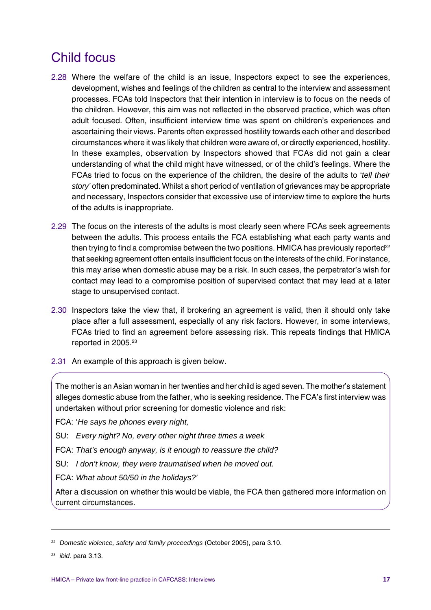# Child focus

- 2.28 Where the welfare of the child is an issue, Inspectors expect to see the experiences, development, wishes and feelings of the children as central to the interview and assessment processes. FCAs told Inspectors that their intention in interview is to focus on the needs of the children. However, this aim was not reflected in the observed practice, which was often adult focused. Often, insufficient interview time was spent on children's experiences and ascertaining their views. Parents often expressed hostility towards each other and described circumstances where it was likely that children were aware of, or directly experienced, hostility. In these examples, observation by Inspectors showed that FCAs did not gain a clear understanding of what the child might have witnessed, or of the child's feelings. Where the FCAs tried to focus on the experience of the children, the desire of the adults to '*tell their story'* often predominated. Whilst a short period of ventilation of grievances may be appropriate and necessary, Inspectors consider that excessive use of interview time to explore the hurts of the adults is inappropriate.
- 2.29 The focus on the interests of the adults is most clearly seen where FCAs seek agreements between the adults. This process entails the FCA establishing what each party wants and then trying to find a compromise between the two positions. HMICA has previously reported $22$ that seeking agreement often entails insufficient focus on the interests of the child. For instance, this may arise when domestic abuse may be a risk. In such cases, the perpetrator's wish for contact may lead to a compromise position of supervised contact that may lead at a later stage to unsupervised contact.
- 2.30 Inspectors take the view that, if brokering an agreement is valid, then it should only take place after a full assessment, especially of any risk factors. However, in some interviews, FCAs tried to find an agreement before assessing risk. This repeats findings that HMICA reported in 2005.<sup>23</sup>
- 2.31 An example of this approach is given below.

The mother is an Asian woman in her twenties and her child is aged seven. The mother's statement alleges domestic abuse from the father, who is seeking residence. The FCA's first interview was undertaken without prior screening for domestic violence and risk:

- FCA: '*He says he phones every night,*
- SU: *Every night? No, every other night three times a week*
- FCA: *That's enough anyway, is it enough to reassure the child?*
- SU: *I don't know, they were traumatised when he moved out.*
- FCA: *What about 50/50 in the holidays?'*

After a discussion on whether this would be viable, the FCA then gathered more information on current circumstances.

<sup>22</sup> *Domestic violence, safety and family proceedings* (October 2005), para 3.10.

<sup>23</sup> *ibid.* para 3.13.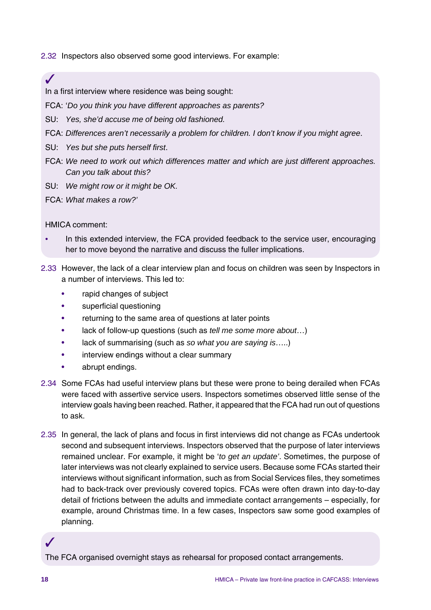2.32 Inspectors also observed some good interviews. For example:

In a first interview where residence was being sought:

FCA: '*Do you think you have different approaches as parents?*

- SU: *Yes, she'd accuse me of being old fashioned.*
- FCA: *Differences aren't necessarily a problem for children. I don't know if you might agree*.
- SU: *Yes but she puts herself first*.
- FCA: *We need to work out which differences matter and which are just different approaches. Can you talk about this?*
- SU: *We might row or it might be OK.*
- FCA: *What makes a row?'*

#### HMICA comment:

✓

- In this extended interview, the FCA provided feedback to the service user, encouraging her to move beyond the narrative and discuss the fuller implications.
- 2.33 However, the lack of a clear interview plan and focus on children was seen by Inspectors in a number of interviews. This led to:
	- rapid changes of subject
	- superficial questioning
	- returning to the same area of questions at later points
	- lack of follow-up questions (such as *tell me some more about*…)
	- lack of summarising (such as *so what you are saying is*…..)
	- interview endings without a clear summary
	- abrupt endings.
- 2.34 Some FCAs had useful interview plans but these were prone to being derailed when FCAs were faced with assertive service users. Inspectors sometimes observed little sense of the interview goals having been reached. Rather, it appeared that the FCA had run out of questions to ask.
- 2.35 In general, the lack of plans and focus in first interviews did not change as FCAs undertook second and subsequent interviews. Inspectors observed that the purpose of later interviews remained unclear. For example, it might be '*to get an update'*. Sometimes, the purpose of later interviews was not clearly explained to service users. Because some FCAs started their interviews without significant information, such as from Social Services files, they sometimes had to back-track over previously covered topics. FCAs were often drawn into day-to-day detail of frictions between the adults and immediate contact arrangements – especially, for example, around Christmas time. In a few cases, Inspectors saw some good examples of planning.

#### The FCA organised overnight stays as rehearsal for proposed contact arrangements.

✓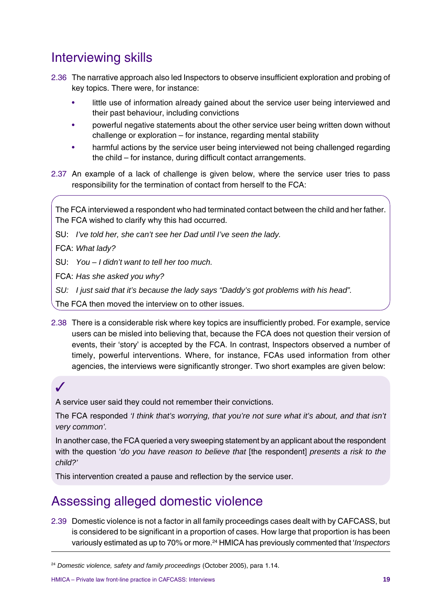# Interviewing skills

- 2.36 The narrative approach also led Inspectors to observe insufficient exploration and probing of key topics. There were, for instance:
	- little use of information already gained about the service user being interviewed and their past behaviour, including convictions
	- powerful negative statements about the other service user being written down without challenge or exploration – for instance, regarding mental stability
	- harmful actions by the service user being interviewed not being challenged regarding the child – for instance, during difficult contact arrangements.
- 2.37 An example of a lack of challenge is given below, where the service user tries to pass responsibility for the termination of contact from herself to the FCA:

The FCA interviewed a respondent who had terminated contact between the child and her father. The FCA wished to clarify why this had occurred.

SU: *I've told her, she can't see her Dad until I've seen the lady.*

FCA: *What lady?*

SU: *You – I didn't want to tell her too much.*

FCA: *Has she asked you why?*

*SU: I just said that it's because the lady says "Daddy's got problems with his head".*

The FCA then moved the interview on to other issues.

2.38 There is a considerable risk where key topics are insufficiently probed. For example, service users can be misled into believing that, because the FCA does not question their version of events, their 'story' is accepted by the FCA. In contrast, Inspectors observed a number of timely, powerful interventions. Where, for instance, FCAs used information from other agencies, the interviews were significantly stronger. Two short examples are given below:

## ✓

A service user said they could not remember their convictions.

The FCA responded *'I think that's worrying, that you're not sure what it's about, and that isn't very common'.*

In another case, the FCA queried a very sweeping statement by an applicant about the respondent with the question '*do you have reason to believe that* [the respondent] *presents a risk to the child?'*

This intervention created a pause and reflection by the service user.

# Assessing alleged domestic violence

2.39 Domestic violence is not a factor in all family proceedings cases dealt with by CAFCASS, but is considered to be significant in a proportion of cases. How large that proportion is has been variously estimated as up to 70% or more.24 HMICA has previously commented that '*Inspectors*

<sup>24</sup> *Domestic violence, safety and family proceedings* (October 2005), para 1.14.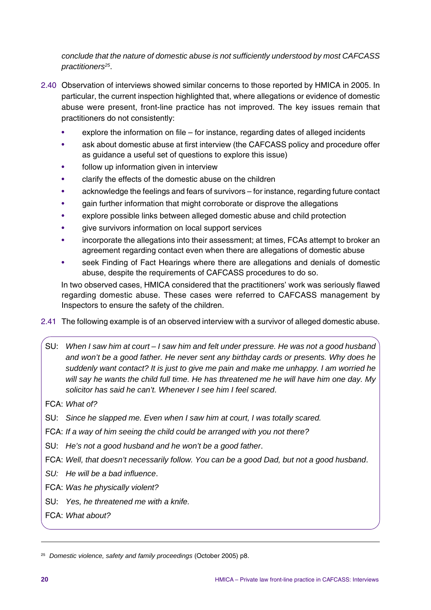*conclude that the nature of domestic abuse is not sufficiently understood by most CAFCASS practitioners25*.

- 2.40 Observation of interviews showed similar concerns to those reported by HMICA in 2005. In particular, the current inspection highlighted that, where allegations or evidence of domestic abuse were present, front-line practice has not improved. The key issues remain that practitioners do not consistently:
	- $explore$  the information on file for instance, regarding dates of alleged incidents
	- ask about domestic abuse at first interview (the CAFCASS policy and procedure offer as guidance a useful set of questions to explore this issue)
	- follow up information given in interview
	- clarify the effects of the domestic abuse on the children
	- acknowledge the feelings and fears of survivors for instance, regarding future contact
	- gain further information that might corroborate or disprove the allegations
	- explore possible links between alleged domestic abuse and child protection
	- give survivors information on local support services
	- incorporate the allegations into their assessment; at times, FCAs attempt to broker an agreement regarding contact even when there are allegations of domestic abuse
	- seek Finding of Fact Hearings where there are allegations and denials of domestic abuse, despite the requirements of CAFCASS procedures to do so.

In two observed cases, HMICA considered that the practitioners' work was seriously flawed regarding domestic abuse. These cases were referred to CAFCASS management by Inspectors to ensure the safety of the children.

- 2.41 The following example is of an observed interview with a survivor of alleged domestic abuse.
	- SU: *When I saw him at court I saw him and felt under pressure. He was not a good husband and won't be a good father. He never sent any birthday cards or presents. Why does he suddenly want contact? It is just to give me pain and make me unhappy. I am worried he will say he wants the child full time. He has threatened me he will have him one day. My solicitor has said he can't. Whenever I see him I feel scared*.
	- FCA: *What of?*
- SU: *Since he slapped me. Even when I saw him at court, I was totally scared.*
- FCA: *If a way of him seeing the child could be arranged with you not there?*
- SU: *He's not a good husband and he won't be a good father*.
- FCA: *Well, that doesn't necessarily follow. You can be a good Dad, but not a good husband*.
- *SU: He will be a bad influence*.
- FCA: *Was he physically violent?*
- SU: *Yes, he threatened me with a knife.*
- FCA: *What about?*

<sup>25</sup> *Domestic violence, safety and family proceedings* (October 2005) p8.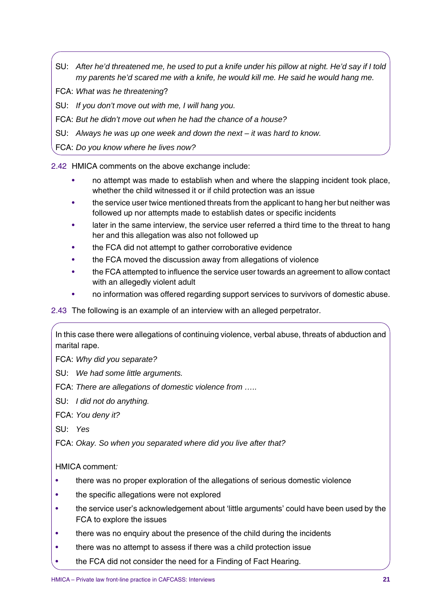- SU: *After he'd threatened me, he used to put a knife under his pillow at night. He'd say if I told my parents he'd scared me with a knife, he would kill me. He said he would hang me.*
- FCA: *What was he threatening*?
- SU: *If you don't move out with me, I will hang you.*
- FCA: *But he didn't move out when he had the chance of a house?*
- SU: *Always he was up one week and down the next it was hard to know.*
- FCA: *Do you know where he lives now?*

2.42 HMICA comments on the above exchange include:

- no attempt was made to establish when and where the slapping incident took place, whether the child witnessed it or if child protection was an issue
- the service user twice mentioned threats from the applicant to hang her but neither was followed up nor attempts made to establish dates or specific incidents
- later in the same interview, the service user referred a third time to the threat to hang her and this allegation was also not followed up
- the FCA did not attempt to gather corroborative evidence
- the FCA moved the discussion away from allegations of violence
- the FCA attempted to influence the service user towards an agreement to allow contact with an allegedly violent adult
- no information was offered regarding support services to survivors of domestic abuse.

#### 2.43 The following is an example of an interview with an alleged perpetrator.

In this case there were allegations of continuing violence, verbal abuse, threats of abduction and marital rape.

- FCA: *Why did you separate?*
- SU: *We had some little arguments.*
- FCA: *There are allegations of domestic violence from …..*
- SU: *I did not do anything.*
- FCA: *You deny it?*
- SU: *Yes*
- FCA: *Okay. So when you separated where did you live after that?*

HMICA comment*:*

- there was no proper exploration of the allegations of serious domestic violence
- the specific allegations were not explored
- the service user's acknowledgement about 'little arguments' could have been used by the FCA to explore the issues
- there was no enquiry about the presence of the child during the incidents
- there was no attempt to assess if there was a child protection issue
- the FCA did not consider the need for a Finding of Fact Hearing.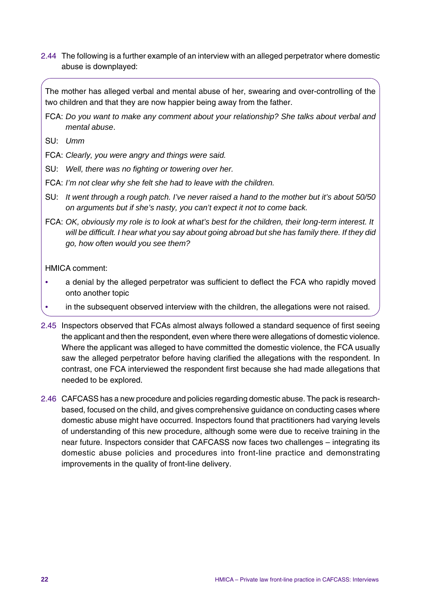2.44 The following is a further example of an interview with an alleged perpetrator where domestic abuse is downplayed:

The mother has alleged verbal and mental abuse of her, swearing and over-controlling of the two children and that they are now happier being away from the father.

- FCA: *Do you want to make any comment about your relationship? She talks about verbal and mental abuse*.
- SU: *Umm*

FCA: *Clearly, you were angry and things were said.*

- SU: *Well, there was no fighting or towering over her.*
- FCA: *I'm not clear why she felt she had to leave with the children.*
- SU: *It went through a rough patch. I've never raised a hand to the mother but it's about 50/50 on arguments but if she's nasty, you can't expect it not to come back.*
- FCA: *OK, obviously my role is to look at what's best for the children, their long-term interest. It will be difficult. I hear what you say about going abroad but she has family there. If they did go, how often would you see them?*

HMICA comment:

- *•* a denial by the alleged perpetrator was sufficient to deflect the FCA who rapidly moved onto another topic
- *•* in the subsequent observed interview with the children, the allegations were not raised.
- 2.45 Inspectors observed that FCAs almost always followed a standard sequence of first seeing the applicant and then the respondent, even where there were allegations of domestic violence. Where the applicant was alleged to have committed the domestic violence, the FCA usually saw the alleged perpetrator before having clarified the allegations with the respondent. In contrast, one FCA interviewed the respondent first because she had made allegations that needed to be explored.
- 2.46 CAFCASS has a new procedure and policies regarding domestic abuse. The pack is researchbased, focused on the child, and gives comprehensive guidance on conducting cases where domestic abuse might have occurred. Inspectors found that practitioners had varying levels of understanding of this new procedure, although some were due to receive training in the near future. Inspectors consider that CAFCASS now faces two challenges – integrating its domestic abuse policies and procedures into front-line practice and demonstrating improvements in the quality of front-line delivery.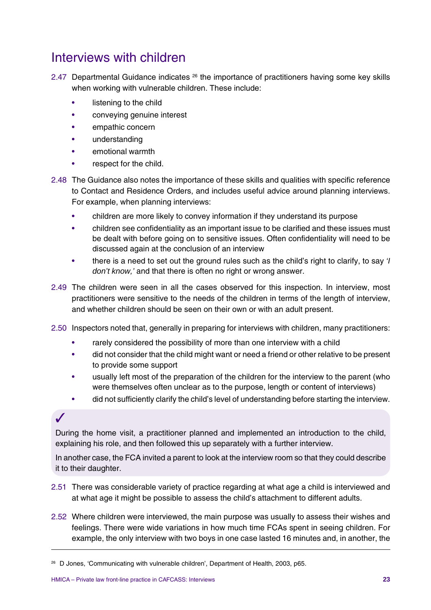## Interviews with children

- 2.47 Departmental Guidance indicates <sup>26</sup> the importance of practitioners having some key skills when working with vulnerable children. These include:
	- listening to the child
	- conveying genuine interest
	- empathic concern
	- understanding
	- emotional warmth
	- respect for the child.
- 2.48 The Guidance also notes the importance of these skills and qualities with specific reference to Contact and Residence Orders, and includes useful advice around planning interviews. For example, when planning interviews:
	- children are more likely to convey information if they understand its purpose
	- children see confidentiality as an important issue to be clarified and these issues must be dealt with before going on to sensitive issues. Often confidentiality will need to be discussed again at the conclusion of an interview
	- there is a need to set out the ground rules such as the child's right to clarify, to say *'I don't know,'* and that there is often no right or wrong answer.
- 2.49 The children were seen in all the cases observed for this inspection. In interview, most practitioners were sensitive to the needs of the children in terms of the length of interview, and whether children should be seen on their own or with an adult present.
- 2.50 Inspectors noted that, generally in preparing for interviews with children, many practitioners:
	- rarely considered the possibility of more than one interview with a child
	- did not consider that the child might want or need a friend or other relative to be present to provide some support
	- usually left most of the preparation of the children for the interview to the parent (who were themselves often unclear as to the purpose, length or content of interviews)
	- did not sufficiently clarify the child's level of understanding before starting the interview.

#### ✓

During the home visit, a practitioner planned and implemented an introduction to the child, explaining his role, and then followed this up separately with a further interview.

In another case, the FCA invited a parent to look at the interview room so that they could describe it to their daughter.

- 2.51 There was considerable variety of practice regarding at what age a child is interviewed and at what age it might be possible to assess the child's attachment to different adults.
- 2.52 Where children were interviewed, the main purpose was usually to assess their wishes and feelings. There were wide variations in how much time FCAs spent in seeing children. For example, the only interview with two boys in one case lasted 16 minutes and, in another, the

<sup>26</sup> D Jones, 'Communicating with vulnerable children', Department of Health, 2003, p65.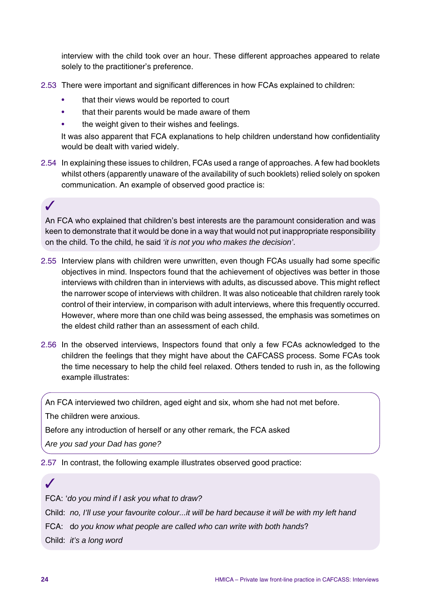interview with the child took over an hour. These different approaches appeared to relate solely to the practitioner's preference.

- 2.53 There were important and significant differences in how FCAs explained to children:
	- that their views would be reported to court
	- that their parents would be made aware of them
	- the weight given to their wishes and feelings.

It was also apparent that FCA explanations to help children understand how confidentiality would be dealt with varied widely.

2.54 In explaining these issues to children, FCAs used a range of approaches. A few had booklets whilst others (apparently unaware of the availability of such booklets) relied solely on spoken communication. An example of observed good practice is:

## ✓

An FCA who explained that children's best interests are the paramount consideration and was keen to demonstrate that it would be done in a way that would not put inappropriate responsibility on the child. To the child, he said *'it is not you who makes the decision'*.

- 2.55 Interview plans with children were unwritten, even though FCAs usually had some specific objectives in mind. Inspectors found that the achievement of objectives was better in those interviews with children than in interviews with adults, as discussed above. This might reflect the narrower scope of interviews with children. It was also noticeable that children rarely took control of their interview, in comparison with adult interviews, where this frequently occurred. However, where more than one child was being assessed, the emphasis was sometimes on the eldest child rather than an assessment of each child.
- 2.56 In the observed interviews, Inspectors found that only a few FCAs acknowledged to the children the feelings that they might have about the CAFCASS process. Some FCAs took the time necessary to help the child feel relaxed. Others tended to rush in, as the following example illustrates:

An FCA interviewed two children, aged eight and six, whom she had not met before.

The children were anxious.

Before any introduction of herself or any other remark, the FCA asked

*Are you sad your Dad has gone?*

2.57 In contrast, the following example illustrates observed good practice:

# FCA: '*do you mind if I ask you what to draw?*

Child: *no, I'll use your favourite colour...it will be hard because it will be with my left hand*

FCA: d*o you know what people are called who can write with both hands*?

Child: *it's a long word*

✓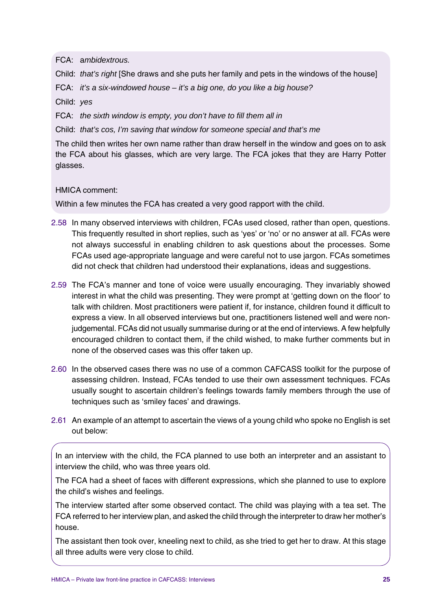FCA: a*mbidextrous.*

Child: *that's right* [She draws and she puts her family and pets in the windows of the house]

FCA: *it's a six-windowed house – it's a big one, do you like a big house?*

Child: *yes*

FCA: *the sixth window is empty, you don't have to fill them all in*

Child: *that's cos, I'm saving that window for someone special and that's me*

The child then writes her own name rather than draw herself in the window and goes on to ask the FCA about his glasses, which are very large. The FCA jokes that they are Harry Potter glasses.

HMICA comment:

Within a few minutes the FCA has created a very good rapport with the child.

- 2.58 In many observed interviews with children, FCAs used closed, rather than open, questions. This frequently resulted in short replies, such as 'yes' or 'no' or no answer at all. FCAs were not always successful in enabling children to ask questions about the processes. Some FCAs used age-appropriate language and were careful not to use jargon. FCAs sometimes did not check that children had understood their explanations, ideas and suggestions.
- 2.59 The FCA's manner and tone of voice were usually encouraging. They invariably showed interest in what the child was presenting. They were prompt at 'getting down on the floor' to talk with children. Most practitioners were patient if, for instance, children found it difficult to express a view. In all observed interviews but one, practitioners listened well and were nonjudgemental. FCAs did not usually summarise during or at the end of interviews. A few helpfully encouraged children to contact them, if the child wished, to make further comments but in none of the observed cases was this offer taken up.
- 2.60 In the observed cases there was no use of a common CAFCASS toolkit for the purpose of assessing children. Instead, FCAs tended to use their own assessment techniques. FCAs usually sought to ascertain children's feelings towards family members through the use of techniques such as 'smiley faces' and drawings.
- 2.61 An example of an attempt to ascertain the views of a young child who spoke no English is set out below:

In an interview with the child, the FCA planned to use both an interpreter and an assistant to interview the child, who was three years old.

The FCA had a sheet of faces with different expressions, which she planned to use to explore the child's wishes and feelings.

The interview started after some observed contact. The child was playing with a tea set. The FCA referred to her interview plan, and asked the child through the interpreter to draw her mother's house.

The assistant then took over, kneeling next to child, as she tried to get her to draw. At this stage all three adults were very close to child.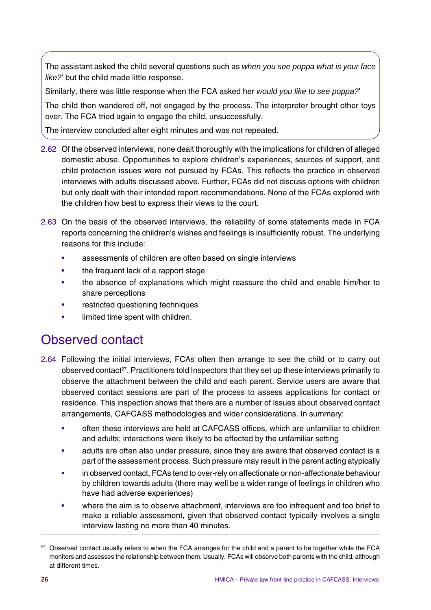The assistant asked the child several questions such as *when you see poppa what is your face like?*' but the child made little response.

Similarly, there was little response when the FCA asked her *would you like to see poppa?*'

The child then wandered off, not engaged by the process. The interpreter brought other toys over. The FCA tried again to engage the child, unsuccessfully.

The interview concluded after eight minutes and was not repeated.

- 2.62 Of the observed interviews, none dealt thoroughly with the implications for children of alleged domestic abuse. Opportunities to explore children's experiences, sources of support, and child protection issues were not pursued by FCAs. This reflects the practice in observed interviews with adults discussed above. Further, FCAs did not discuss options with children but only dealt with their intended report recommendations. None of the FCAs explored with the children how best to express their views to the court.
- 2.63 On the basis of the observed interviews, the reliability of some statements made in FCA reports concerning the children's wishes and feelings is insufficiently robust. The underlying reasons for this include:
	- assessments of children are often based on single interviews
	- the frequent lack of a rapport stage
	- the absence of explanations which might reassure the child and enable him/her to share perceptions
	- restricted questioning techniques
	- limited time spent with children.

## Observed contact

- 2.64 Following the initial interviews, FCAs often then arrange to see the child or to carry out observed contact<sup>27</sup>. Practitioners told Inspectors that they set up these interviews primarily to observe the attachment between the child and each parent. Service users are aware that observed contact sessions are part of the process to assess applications for contact or residence. This inspection shows that there are a number of issues about observed contact arrangements, CAFCASS methodologies and wider considerations. In summary:
	- often these interviews are held at CAFCASS offices, which are unfamiliar to children and adults; interactions were likely to be affected by the unfamiliar setting
	- adults are often also under pressure, since they are aware that observed contact is a part of the assessment process. Such pressure may result in the parent acting atypically
	- in observed contact, FCAs tend to over-rely on affectionate or non-affectionate behaviour by children towards adults (there may well be a wider range of feelings in children who have had adverse experiences)
	- where the aim is to observe attachment, interviews are too infrequent and too brief to make a reliable assessment, given that observed contact typically involves a single interview lasting no more than 40 minutes.

<sup>&</sup>lt;sup>27</sup> Observed contact usually refers to when the FCA arranges for the child and a parent to be together while the FCA monitors and assesses the relationship between them. Usually, FCAs will observe both parents with the child, although at different times.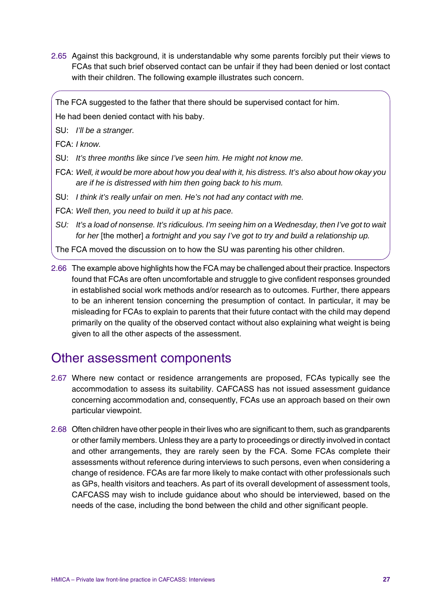2.65 Against this background, it is understandable why some parents forcibly put their views to FCAs that such brief observed contact can be unfair if they had been denied or lost contact with their children. The following example illustrates such concern.

The FCA suggested to the father that there should be supervised contact for him.

He had been denied contact with his baby.

SU: *I'll be a stranger.*

FCA: *I know.*

- SU: *It's three months like since I've seen him. He might not know me.*
- FCA: *Well, it would be more about how you deal with it, his distress. It's also about how okay you are if he is distressed with him then going back to his mum.*
- SU: *I think it's really unfair on men. He's not had any contact with me.*
- FCA: *Well then, you need to build it up at his pace.*
- *SU: It's a load of nonsense. It's ridiculous. I'm seeing him on a Wednesday, then I've got to wait for her* [the mother] *a fortnight and you say I've got to try and build a relationship up.*

The FCA moved the discussion on to how the SU was parenting his other children.

2.66 The example above highlights how the FCA may be challenged about their practice. Inspectors found that FCAs are often uncomfortable and struggle to give confident responses grounded in established social work methods and/or research as to outcomes. Further, there appears to be an inherent tension concerning the presumption of contact. In particular, it may be misleading for FCAs to explain to parents that their future contact with the child may depend primarily on the quality of the observed contact without also explaining what weight is being given to all the other aspects of the assessment.

# Other assessment components

- 2.67 Where new contact or residence arrangements are proposed, FCAs typically see the accommodation to assess its suitability. CAFCASS has not issued assessment guidance concerning accommodation and, consequently, FCAs use an approach based on their own particular viewpoint.
- 2.68 Often children have other people in their lives who are significant to them, such as grandparents or other family members. Unless they are a party to proceedings or directly involved in contact and other arrangements, they are rarely seen by the FCA. Some FCAs complete their assessments without reference during interviews to such persons, even when considering a change of residence. FCAs are far more likely to make contact with other professionals such as GPs, health visitors and teachers. As part of its overall development of assessment tools, CAFCASS may wish to include guidance about who should be interviewed, based on the needs of the case, including the bond between the child and other significant people.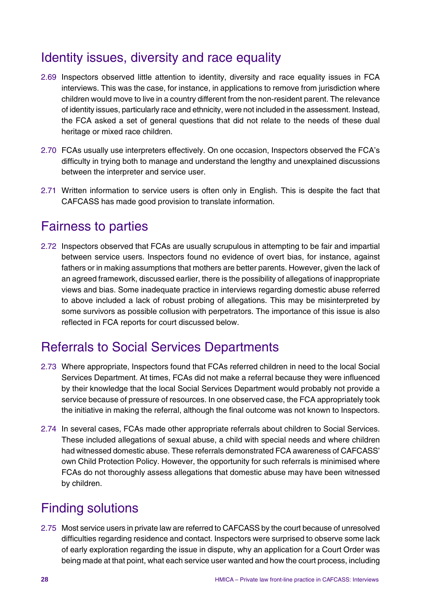# Identity issues, diversity and race equality

- 2.69 Inspectors observed little attention to identity, diversity and race equality issues in FCA interviews. This was the case, for instance, in applications to remove from jurisdiction where children would move to live in a country different from the non-resident parent. The relevance of identity issues, particularly race and ethnicity, were not included in the assessment. Instead, the FCA asked a set of general questions that did not relate to the needs of these dual heritage or mixed race children.
- 2.70 FCAs usually use interpreters effectively. On one occasion, Inspectors observed the FCA's difficulty in trying both to manage and understand the lengthy and unexplained discussions between the interpreter and service user.
- 2.71 Written information to service users is often only in English. This is despite the fact that CAFCASS has made good provision to translate information.

## Fairness to parties

2.72 Inspectors observed that FCAs are usually scrupulous in attempting to be fair and impartial between service users. Inspectors found no evidence of overt bias, for instance, against fathers or in making assumptions that mothers are better parents. However, given the lack of an agreed framework, discussed earlier, there is the possibility of allegations of inappropriate views and bias. Some inadequate practice in interviews regarding domestic abuse referred to above included a lack of robust probing of allegations. This may be misinterpreted by some survivors as possible collusion with perpetrators. The importance of this issue is also reflected in FCA reports for court discussed below.

## Referrals to Social Services Departments

- 2.73 Where appropriate, Inspectors found that FCAs referred children in need to the local Social Services Department. At times, FCAs did not make a referral because they were influenced by their knowledge that the local Social Services Department would probably not provide a service because of pressure of resources. In one observed case, the FCA appropriately took the initiative in making the referral, although the final outcome was not known to Inspectors.
- 2.74 In several cases, FCAs made other appropriate referrals about children to Social Services. These included allegations of sexual abuse, a child with special needs and where children had witnessed domestic abuse. These referrals demonstrated FCA awareness of CAFCASS' own Child Protection Policy. However, the opportunity for such referrals is minimised where FCAs do not thoroughly assess allegations that domestic abuse may have been witnessed by children.

# Finding solutions

2.75 Most service users in private law are referred to CAFCASS by the court because of unresolved difficulties regarding residence and contact. Inspectors were surprised to observe some lack of early exploration regarding the issue in dispute, why an application for a Court Order was being made at that point, what each service user wanted and how the court process, including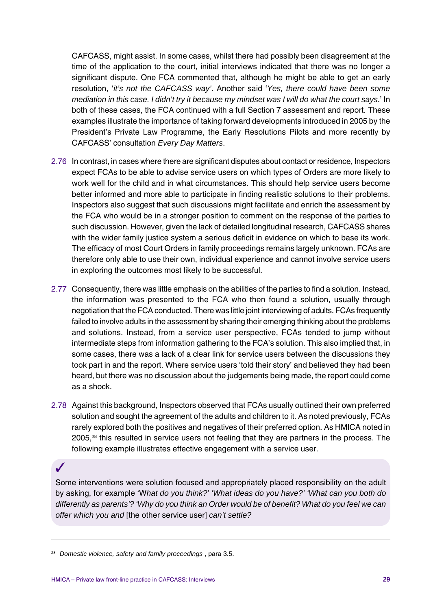CAFCASS, might assist. In some cases, whilst there had possibly been disagreement at the time of the application to the court, initial interviews indicated that there was no longer a significant dispute. One FCA commented that, although he might be able to get an early resolution, '*it's not the CAFCASS way'*. Another said '*Yes, there could have been some mediation in this case. I didn't try it because my mindset was I will do what the court says*.' In both of these cases, the FCA continued with a full Section 7 assessment and report. These examples illustrate the importance of taking forward developments introduced in 2005 by the President's Private Law Programme, the Early Resolutions Pilots and more recently by CAFCASS' consultation *Every Day Matters*.

- 2.76 In contrast, in cases where there are significant disputes about contact or residence, Inspectors expect FCAs to be able to advise service users on which types of Orders are more likely to work well for the child and in what circumstances. This should help service users become better informed and more able to participate in finding realistic solutions to their problems. Inspectors also suggest that such discussions might facilitate and enrich the assessment by the FCA who would be in a stronger position to comment on the response of the parties to such discussion. However, given the lack of detailed longitudinal research, CAFCASS shares with the wider family justice system a serious deficit in evidence on which to base its work. The efficacy of most Court Orders in family proceedings remains largely unknown. FCAs are therefore only able to use their own, individual experience and cannot involve service users in exploring the outcomes most likely to be successful.
- 2.77 Consequently, there was little emphasis on the abilities of the parties to find a solution. Instead, the information was presented to the FCA who then found a solution, usually through negotiation that the FCA conducted. There was little joint interviewing of adults. FCAs frequently failed to involve adults in the assessment by sharing their emerging thinking about the problems and solutions. Instead, from a service user perspective, FCAs tended to jump without intermediate steps from information gathering to the FCA's solution. This also implied that, in some cases, there was a lack of a clear link for service users between the discussions they took part in and the report. Where service users 'told their story' and believed they had been heard, but there was no discussion about the judgements being made, the report could come as a shock.
- 2.78 Against this background, Inspectors observed that FCAs usually outlined their own preferred solution and sought the agreement of the adults and children to it. As noted previously, FCAs rarely explored both the positives and negatives of their preferred option. As HMICA noted in 2005,<sup>28</sup> this resulted in service users not feeling that they are partners in the process. The following example illustrates effective engagement with a service user.

## ✓

Some interventions were solution focused and appropriately placed responsibility on the adult by asking, for example 'W*hat do you think?' 'What ideas do you have?' 'What can you both do differently as parents'? 'Why do you think an Order would be of benefit? What do you feel we can offer which you and* [the other service user] *can't settle?*

<sup>28</sup> *Domestic violence, safety and family proceedings* , para 3.5.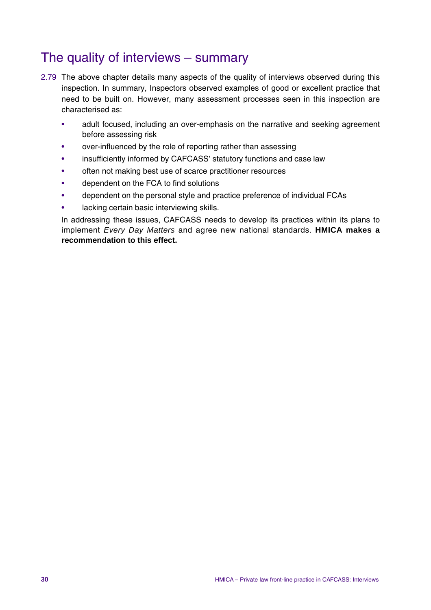## The quality of interviews – summary

- 2.79 The above chapter details many aspects of the quality of interviews observed during this inspection. In summary, Inspectors observed examples of good or excellent practice that need to be built on. However, many assessment processes seen in this inspection are characterised as:
	- adult focused, including an over-emphasis on the narrative and seeking agreement before assessing risk
	- over-influenced by the role of reporting rather than assessing
	- insufficiently informed by CAFCASS' statutory functions and case law
	- often not making best use of scarce practitioner resources
	- dependent on the FCA to find solutions
	- dependent on the personal style and practice preference of individual FCAs
	- lacking certain basic interviewing skills.

In addressing these issues, CAFCASS needs to develop its practices within its plans to implement *Every Day Matters* and agree new national standards. **HMICA makes a recommendation to this effect.**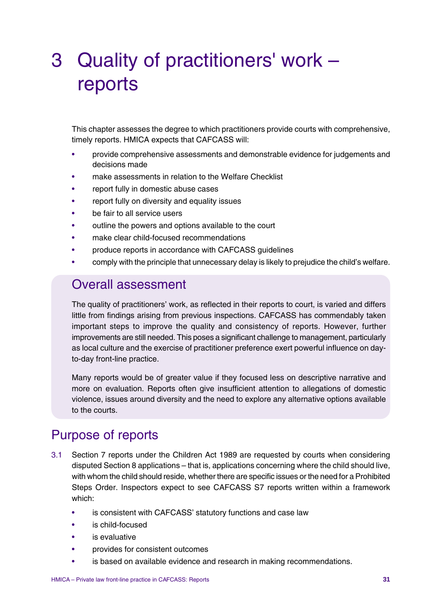# 3 Quality of practitioners' work – reports

This chapter assesses the degree to which practitioners provide courts with comprehensive, timely reports. HMICA expects that CAFCASS will:

- provide comprehensive assessments and demonstrable evidence for judgements and decisions made
- make assessments in relation to the Welfare Checklist
- report fully in domestic abuse cases
- report fully on diversity and equality issues
- be fair to all service users
- outline the powers and options available to the court
- make clear child-focused recommendations
- produce reports in accordance with CAFCASS guidelines
- comply with the principle that unnecessary delay is likely to prejudice the child's welfare.

## Overall assessment

The quality of practitioners' work, as reflected in their reports to court, is varied and differs little from findings arising from previous inspections. CAFCASS has commendably taken important steps to improve the quality and consistency of reports. However, further improvements are still needed. This poses a significant challenge to management, particularly as local culture and the exercise of practitioner preference exert powerful influence on dayto-day front-line practice.

Many reports would be of greater value if they focused less on descriptive narrative and more on evaluation. Reports often give insufficient attention to allegations of domestic violence, issues around diversity and the need to explore any alternative options available to the courts.

# Purpose of reports

- 3.1 Section 7 reports under the Children Act 1989 are requested by courts when considering disputed Section 8 applications – that is, applications concerning where the child should live, with whom the child should reside, whether there are specific issues or the need for a Prohibited Steps Order. Inspectors expect to see CAFCASS S7 reports written within a framework which:
	- is consistent with CAFCASS' statutory functions and case law
	- is child-focused
	- is evaluative
	- provides for consistent outcomes
	- is based on available evidence and research in making recommendations.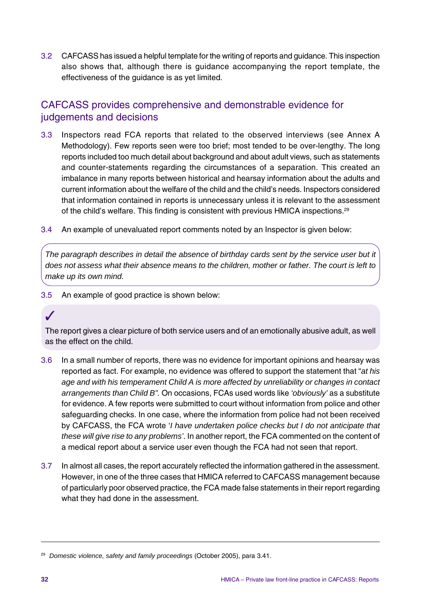3.2 CAFCASS has issued a helpful template for the writing of reports and guidance. This inspection also shows that, although there is guidance accompanying the report template, the effectiveness of the guidance is as yet limited.

## CAFCASS provides comprehensive and demonstrable evidence for judgements and decisions

- 3.3 Inspectors read FCA reports that related to the observed interviews (see Annex A Methodology). Few reports seen were too brief; most tended to be over-lengthy. The long reports included too much detail about background and about adult views, such as statements and counter-statements regarding the circumstances of a separation. This created an imbalance in many reports between historical and hearsay information about the adults and current information about the welfare of the child and the child's needs. Inspectors considered that information contained in reports is unnecessary unless it is relevant to the assessment of the child's welfare. This finding is consistent with previous HMICA inspections.29
- 3.4 An example of unevaluated report comments noted by an Inspector is given below:

*The paragraph describes in detail the absence of birthday cards sent by the service user but it does not assess what their absence means to the children, mother or father. The court is left to make up its own mind.*

3.5 An example of good practice is shown below:

## ✓

The report gives a clear picture of both service users and of an emotionally abusive adult, as well as the effect on the child.

- 3.6 In a small number of reports, there was no evidence for important opinions and hearsay was reported as fact. For example, no evidence was offered to support the statement that "*at his age and with his temperament Child A is more affected by unreliability or changes in contact arrangements than Child B".* On occasions, FCAs used words like *'obviously'* as a substitute for evidence. A few reports were submitted to court without information from police and other safeguarding checks. In one case, where the information from police had not been received by CAFCASS, the FCA wrote '*I have undertaken police checks but I do not anticipate that these will give rise to any problems'*. In another report, the FCA commented on the content of a medical report about a service user even though the FCA had not seen that report.
- 3.7 In almost all cases, the report accurately reflected the information gathered in the assessment. However, in one of the three cases that HMICA referred to CAFCASS management because of particularly poor observed practice, the FCA made false statements in their report regarding what they had done in the assessment.

<sup>29</sup> *Domestic violence, safety and family proceedings* (October 2005), para 3.41.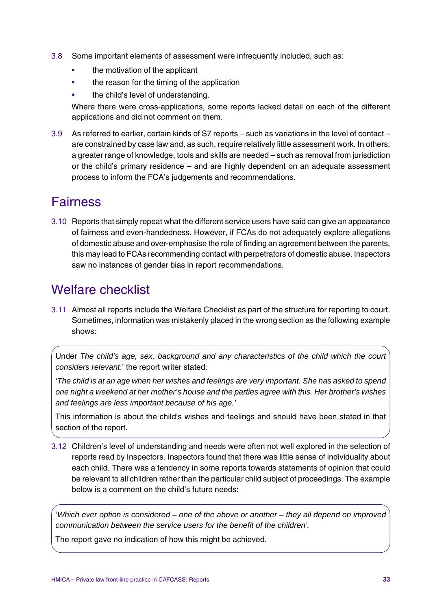- 3.8 Some important elements of assessment were infrequently included, such as:
	- the motivation of the applicant
	- the reason for the timing of the application
	- the child's level of understanding.

Where there were cross-applications, some reports lacked detail on each of the different applications and did not comment on them.

3.9 As referred to earlier, certain kinds of S7 reports – such as variations in the level of contact – are constrained by case law and, as such, require relatively little assessment work. In others, a greater range of knowledge, tools and skills are needed – such as removal from jurisdiction or the child's primary residence – and are highly dependent on an adequate assessment process to inform the FCA's judgements and recommendations.

## **Fairness**

3.10 Reports that simply repeat what the different service users have said can give an appearance of fairness and even-handedness. However, if FCAs do not adequately explore allegations of domestic abuse and over-emphasise the role of finding an agreement between the parents, this may lead to FCAs recommending contact with perpetrators of domestic abuse. Inspectors saw no instances of gender bias in report recommendations.

## Welfare checklist

3.11 Almost all reports include the Welfare Checklist as part of the structure for reporting to court. Sometimes, information was mistakenly placed in the wrong section as the following example shows:

Under *The child's age, sex, background and any characteristics of the child which the court considers relevant*:' the report writer stated:

*'The child is at an age when her wishes and feelings are very important. She has asked to spend one night a weekend at her mother's house and the parties agree with this. Her brother's wishes and feelings are less important because of his age.'*

This information is about the child's wishes and feelings and should have been stated in that section of the report.

3.12 Children's level of understanding and needs were often not well explored in the selection of reports read by Inspectors. Inspectors found that there was little sense of individuality about each child. There was a tendency in some reports towards statements of opinion that could be relevant to all children rather than the particular child subject of proceedings. The example below is a comment on the child's future needs:

'*Which ever option is considered – one of the above or another – they all depend on improved communication between the service users for the benefit of the children'.*

The report gave no indication of how this might be achieved.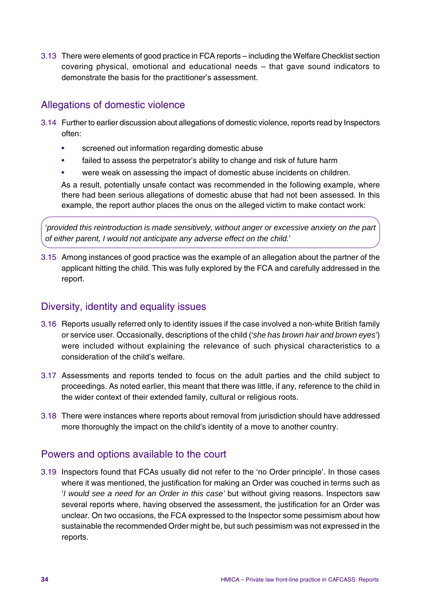3.13 There were elements of good practice in FCA reports – including the Welfare Checklist section covering physical, emotional and educational needs – that gave sound indicators to demonstrate the basis for the practitioner's assessment.

## Allegations of domestic violence

- 3.14 Further to earlier discussion about allegations of domestic violence, reports read by Inspectors often:
	- screened out information regarding domestic abuse
	- failed to assess the perpetrator's ability to change and risk of future harm
	- were weak on assessing the impact of domestic abuse incidents on children.

As a result, potentially unsafe contact was recommended in the following example, where there had been serious allegations of domestic abuse that had not been assessed. In this example, the report author places the onus on the alleged victim to make contact work:

'*provided this reintroduction is made sensitively, without anger or excessive anxiety on the part of either parent, I would not anticipate any adverse effect on the child.*'

3.15 Among instances of good practice was the example of an allegation about the partner of the applicant hitting the child. This was fully explored by the FCA and carefully addressed in the report.

### Diversity, identity and equality issues

- 3.16 Reports usually referred only to identity issues if the case involved a non-white British family or service user. Occasionally, descriptions of the child ('*she has brown hair and brown eyes'*) were included without explaining the relevance of such physical characteristics to a consideration of the child's welfare.
- 3.17 Assessments and reports tended to focus on the adult parties and the child subject to proceedings. As noted earlier, this meant that there was little, if any, reference to the child in the wider context of their extended family, cultural or religious roots.
- 3.18 There were instances where reports about removal from jurisdiction should have addressed more thoroughly the impact on the child's identity of a move to another country.

### Powers and options available to the court

3.19 Inspectors found that FCAs usually did not refer to the 'no Order principle'. In those cases where it was mentioned, the justification for making an Order was couched in terms such as '*I would see a need for an Order in this case'* but without giving reasons. Inspectors saw several reports where, having observed the assessment, the justification for an Order was unclear. On two occasions, the FCA expressed to the Inspector some pessimism about how sustainable the recommended Order might be, but such pessimism was not expressed in the reports.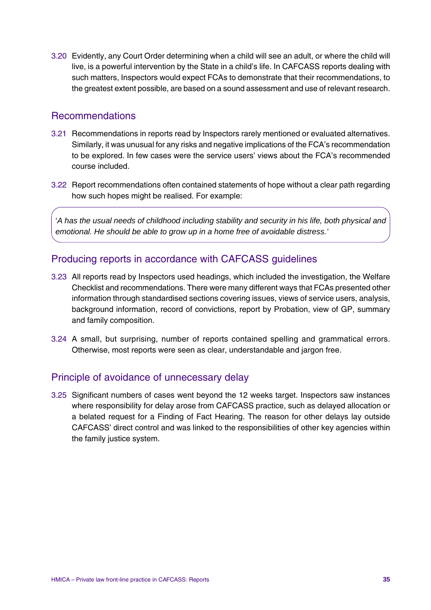3.20 Evidently, any Court Order determining when a child will see an adult, or where the child will live, is a powerful intervention by the State in a child's life. In CAFCASS reports dealing with such matters, Inspectors would expect FCAs to demonstrate that their recommendations, to the greatest extent possible, are based on a sound assessment and use of relevant research.

### Recommendations

- 3.21 Recommendations in reports read by Inspectors rarely mentioned or evaluated alternatives. Similarly, it was unusual for any risks and negative implications of the FCA's recommendation to be explored. In few cases were the service users' views about the FCA's recommended course included.
- 3.22 Report recommendations often contained statements of hope without a clear path regarding how such hopes might be realised. For example:

'*A has the usual needs of childhood including stability and security in his life, both physical and emotional. He should be able to grow up in a home free of avoidable distress.'*

### Producing reports in accordance with CAFCASS guidelines

- 3.23 All reports read by Inspectors used headings, which included the investigation, the Welfare Checklist and recommendations. There were many different ways that FCAs presented other information through standardised sections covering issues, views of service users, analysis, background information, record of convictions, report by Probation, view of GP, summary and family composition.
- 3.24 A small, but surprising, number of reports contained spelling and grammatical errors. Otherwise, most reports were seen as clear, understandable and jargon free.

#### Principle of avoidance of unnecessary delay

3.25 Significant numbers of cases went beyond the 12 weeks target. Inspectors saw instances where responsibility for delay arose from CAFCASS practice, such as delayed allocation or a belated request for a Finding of Fact Hearing. The reason for other delays lay outside CAFCASS' direct control and was linked to the responsibilities of other key agencies within the family justice system.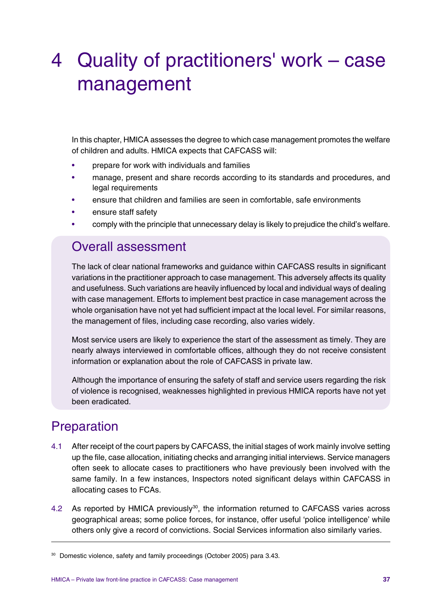# 4 Quality of practitioners' work – case management

In this chapter, HMICA assesses the degree to which case management promotes the welfare of children and adults. HMICA expects that CAFCASS will:

- prepare for work with individuals and families
- manage, present and share records according to its standards and procedures, and legal requirements
- ensure that children and families are seen in comfortable, safe environments
- ensure staff safety
- comply with the principle that unnecessary delay is likely to prejudice the child's welfare.

## Overall assessment

The lack of clear national frameworks and guidance within CAFCASS results in significant variations in the practitioner approach to case management. This adversely affects its quality and usefulness. Such variations are heavily influenced by local and individual ways of dealing with case management. Efforts to implement best practice in case management across the whole organisation have not yet had sufficient impact at the local level. For similar reasons, the management of files, including case recording, also varies widely.

Most service users are likely to experience the start of the assessment as timely. They are nearly always interviewed in comfortable offices, although they do not receive consistent information or explanation about the role of CAFCASS in private law.

Although the importance of ensuring the safety of staff and service users regarding the risk of violence is recognised, weaknesses highlighted in previous HMICA reports have not yet been eradicated.

## Preparation

- 4.1 After receipt of the court papers by CAFCASS, the initial stages of work mainly involve setting up the file, case allocation, initiating checks and arranging initial interviews. Service managers often seek to allocate cases to practitioners who have previously been involved with the same family. In a few instances, Inspectors noted significant delays within CAFCASS in allocating cases to FCAs.
- 4.2 As reported by HMICA previously<sup>30</sup>, the information returned to CAFCASS varies across geographical areas; some police forces, for instance, offer useful 'police intelligence' while others only give a record of convictions. Social Services information also similarly varies.

<sup>30</sup> Domestic violence, safety and family proceedings (October 2005) para 3.43.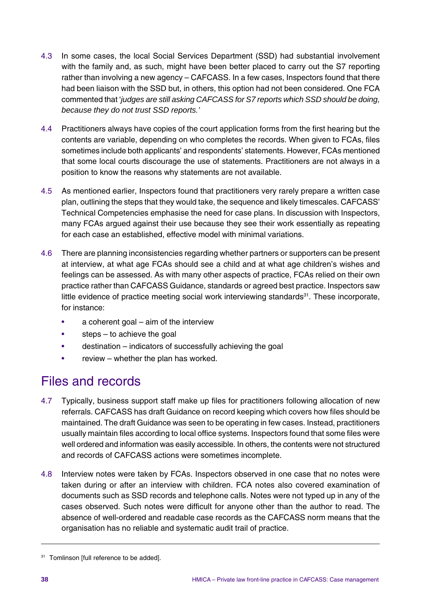- 4.3 In some cases, the local Social Services Department (SSD) had substantial involvement with the family and, as such, might have been better placed to carry out the S7 reporting rather than involving a new agency – CAFCASS. In a few cases, Inspectors found that there had been liaison with the SSD but, in others, this option had not been considered. One FCA commented that '*judges are still asking CAFCASS for S7 reports which SSD should be doing, because they do not trust SSD reports.'*
- 4.4 Practitioners always have copies of the court application forms from the first hearing but the contents are variable, depending on who completes the records. When given to FCAs, files sometimes include both applicants' and respondents' statements. However, FCAs mentioned that some local courts discourage the use of statements. Practitioners are not always in a position to know the reasons why statements are not available.
- 4.5 As mentioned earlier, Inspectors found that practitioners very rarely prepare a written case plan, outlining the steps that they would take, the sequence and likely timescales. CAFCASS' Technical Competencies emphasise the need for case plans. In discussion with Inspectors, many FCAs argued against their use because they see their work essentially as repeating for each case an established, effective model with minimal variations.
- 4.6 There are planning inconsistencies regarding whether partners or supporters can be present at interview, at what age FCAs should see a child and at what age children's wishes and feelings can be assessed. As with many other aspects of practice, FCAs relied on their own practice rather than CAFCASS Guidance, standards or agreed best practice. Inspectors saw little evidence of practice meeting social work interviewing standards $31$ . These incorporate, for instance:
	- $a$  coherent goal aim of the interview
	- steps to achieve the goal
	- destination indicators of successfully achieving the goal
	- review whether the plan has worked.

## Files and records

- 4.7 Typically, business support staff make up files for practitioners following allocation of new referrals. CAFCASS has draft Guidance on record keeping which covers how files should be maintained. The draft Guidance was seen to be operating in few cases. Instead, practitioners usually maintain files according to local office systems. Inspectors found that some files were well ordered and information was easily accessible. In others, the contents were not structured and records of CAFCASS actions were sometimes incomplete.
- 4.8 Interview notes were taken by FCAs. Inspectors observed in one case that no notes were taken during or after an interview with children. FCA notes also covered examination of documents such as SSD records and telephone calls. Notes were not typed up in any of the cases observed. Such notes were difficult for anyone other than the author to read. The absence of well-ordered and readable case records as the CAFCASS norm means that the organisation has no reliable and systematic audit trail of practice.

<sup>&</sup>lt;sup>31</sup> Tomlinson [full reference to be added].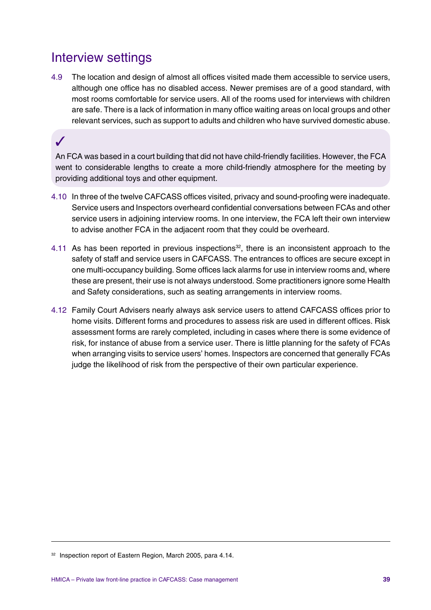## Interview settings

4.9 The location and design of almost all offices visited made them accessible to service users, although one office has no disabled access. Newer premises are of a good standard, with most rooms comfortable for service users. All of the rooms used for interviews with children are safe. There is a lack of information in many office waiting areas on local groups and other relevant services, such as support to adults and children who have survived domestic abuse.

## ✓

An FCA was based in a court building that did not have child-friendly facilities. However, the FCA went to considerable lengths to create a more child-friendly atmosphere for the meeting by providing additional toys and other equipment.

- 4.10 In three of the twelve CAFCASS offices visited, privacy and sound-proofing were inadequate. Service users and Inspectors overheard confidential conversations between FCAs and other service users in adjoining interview rooms. In one interview, the FCA left their own interview to advise another FCA in the adjacent room that they could be overheard.
- 4.11 As has been reported in previous inspections<sup>32</sup>, there is an inconsistent approach to the safety of staff and service users in CAFCASS. The entrances to offices are secure except in one multi-occupancy building. Some offices lack alarms for use in interview rooms and, where these are present, their use is not always understood. Some practitioners ignore some Health and Safety considerations, such as seating arrangements in interview rooms.
- 4.12 Family Court Advisers nearly always ask service users to attend CAFCASS offices prior to home visits. Different forms and procedures to assess risk are used in different offices. Risk assessment forms are rarely completed, including in cases where there is some evidence of risk, for instance of abuse from a service user. There is little planning for the safety of FCAs when arranging visits to service users' homes. Inspectors are concerned that generally FCAs judge the likelihood of risk from the perspective of their own particular experience.

<sup>&</sup>lt;sup>32</sup> Inspection report of Eastern Region, March 2005, para 4.14.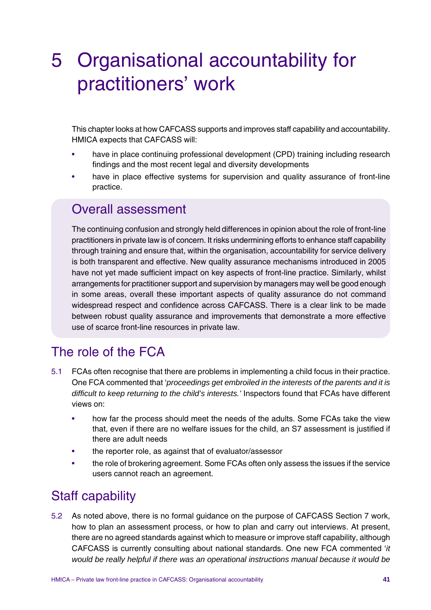# 5 Organisational accountability for practitioners' work

This chapter looks at how CAFCASS supports and improves staff capability and accountability. HMICA expects that CAFCASS will:

- have in place continuing professional development (CPD) training including research findings and the most recent legal and diversity developments
- have in place effective systems for supervision and quality assurance of front-line practice.

## Overall assessment

The continuing confusion and strongly held differences in opinion about the role of front-line practitioners in private law is of concern. It risks undermining efforts to enhance staff capability through training and ensure that, within the organisation, accountability for service delivery is both transparent and effective. New quality assurance mechanisms introduced in 2005 have not yet made sufficient impact on key aspects of front-line practice. Similarly, whilst arrangements for practitioner support and supervision by managers may well be good enough in some areas, overall these important aspects of quality assurance do not command widespread respect and confidence across CAFCASS. There is a clear link to be made between robust quality assurance and improvements that demonstrate a more effective use of scarce front-line resources in private law.

# The role of the FCA

- 5.1 FCAs often recognise that there are problems in implementing a child focus in their practice. One FCA commented that '*proceedings get embroiled in the interests of the parents and it is difficult to keep returning to the child's interests.'* Inspectors found that FCAs have different views on:
	- how far the process should meet the needs of the adults. Some FCAs take the view that, even if there are no welfare issues for the child, an S7 assessment is justified if there are adult needs
	- the reporter role, as against that of evaluator/assessor
	- the role of brokering agreement. Some FCAs often only assess the issues if the service users cannot reach an agreement.

## Staff capability

5.2 As noted above, there is no formal guidance on the purpose of CAFCASS Section 7 work, how to plan an assessment process, or how to plan and carry out interviews. At present, there are no agreed standards against which to measure or improve staff capability, although CAFCASS is currently consulting about national standards. One new FCA commented '*it would be really helpful if there was an operational instructions manual because it would be*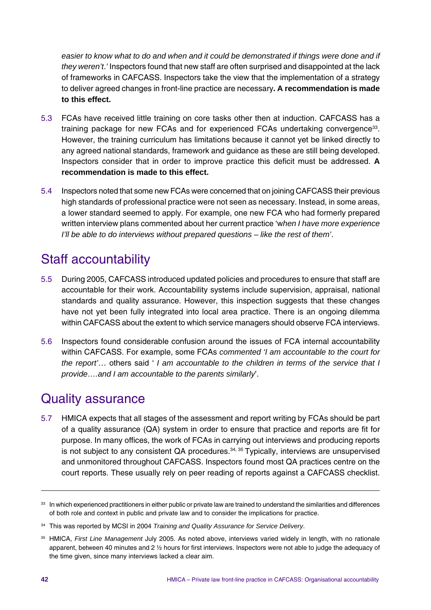*easier to know what to do and when and it could be demonstrated if things were done and if they weren't*.*'* Inspectors found that new staff are often surprised and disappointed at the lack of frameworks in CAFCASS. Inspectors take the view that the implementation of a strategy to deliver agreed changes in front-line practice are necessary**. A recommendation is made to this effect.**

- 5.3 FCAs have received little training on core tasks other then at induction. CAFCASS has a training package for new FCAs and for experienced FCAs undertaking convergence<sup>33</sup>. However, the training curriculum has limitations because it cannot yet be linked directly to any agreed national standards, framework and guidance as these are still being developed. Inspectors consider that in order to improve practice this deficit must be addressed. **A recommendation is made to this effect.**
- 5.4 Inspectors noted that some new FCAs were concerned that on joining CAFCASS their previous high standards of professional practice were not seen as necessary. Instead, in some areas, a lower standard seemed to apply. For example, one new FCA who had formerly prepared written interview plans commented about her current practice 'w*hen I have more experience I'll be able to do interviews without prepared questions – like the rest of them'*.

# Staff accountability

- 5.5 During 2005, CAFCASS introduced updated policies and procedures to ensure that staff are accountable for their work. Accountability systems include supervision, appraisal, national standards and quality assurance. However, this inspection suggests that these changes have not yet been fully integrated into local area practice. There is an ongoing dilemma within CAFCASS about the extent to which service managers should observe FCA interviews.
- 5.6 Inspectors found considerable confusion around the issues of FCA internal accountability within CAFCASS. For example, some FCAs *commented 'I am accountable to the court for the report'*… others said ' *I am accountable to the children in terms of the service that I provide….and I am accountable to the parents similarly*'.

## Quality assurance

5.7 HMICA expects that all stages of the assessment and report writing by FCAs should be part of a quality assurance (QA) system in order to ensure that practice and reports are fit for purpose. In many offices, the work of FCAs in carrying out interviews and producing reports is not subject to any consistent QA procedures.<sup>34, 35</sup> Typically, interviews are unsupervised and unmonitored throughout CAFCASS. Inspectors found most QA practices centre on the court reports. These usually rely on peer reading of reports against a CAFCASS checklist.

<sup>&</sup>lt;sup>33</sup> In which experienced practitioners in either public or private law are trained to understand the similarities and differences of both role and context in public and private law and to consider the implications for practice.

<sup>34</sup> This was reported by MCSI in 2004 *Training and Quality Assurance for Service Delivery*.

<sup>35</sup> HMICA, *First Line Management* July 2005. As noted above, interviews varied widely in length, with no rationale apparent, between 40 minutes and 2 ½ hours for first interviews. Inspectors were not able to judge the adequacy of the time given, since many interviews lacked a clear aim.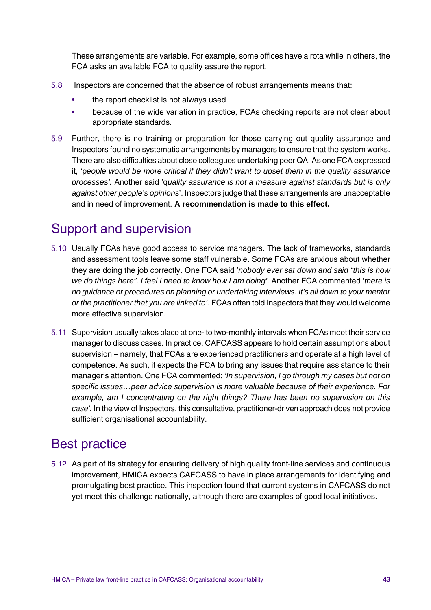These arrangements are variable. For example, some offices have a rota while in others, the FCA asks an available FCA to quality assure the report.

- 5.8 Inspectors are concerned that the absence of robust arrangements means that:
	- the report checklist is not always used
	- because of the wide variation in practice, FCAs checking reports are not clear about appropriate standards.
- 5.9 Further, there is no training or preparation for those carrying out quality assurance and Inspectors found no systematic arrangements by managers to ensure that the system works. There are also difficulties about close colleagues undertaking peer QA. As one FCA expressed it, 'p*eople would be more critical if they didn't want to upset them in the quality assurance processes'.* Another said 'q*uality assurance is not a measure against standards but is only against other people's opinions*'. Inspectors judge that these arrangements are unacceptable and in need of improvement. **A recommendation is made to this effect.**

## Support and supervision

- 5.10 Usually FCAs have good access to service managers. The lack of frameworks, standards and assessment tools leave some staff vulnerable. Some FCAs are anxious about whether they are doing the job correctly. One FCA said '*nobody ever sat down and said "this is how we do things here". I feel I need to know how I am doing'.* Another FCA commented '*there is no guidance or procedures on planning or undertaking interviews. It's all down to your mentor or the practitioner that you are linked to'.* FCAs often told Inspectors that they would welcome more effective supervision.
- 5.11 Supervision usually takes place at one- to two-monthly intervals when FCAs meet their service manager to discuss cases. In practice, CAFCASS appears to hold certain assumptions about supervision – namely, that FCAs are experienced practitioners and operate at a high level of competence. As such, it expects the FCA to bring any issues that require assistance to their manager's attention. One FCA commented; '*In supervision, I go through my cases but not on specific issues…peer advice supervision is more valuable because of their experience. For example, am I concentrating on the right things? There has been no supervision on this case'.* In the view of Inspectors, this consultative, practitioner-driven approach does not provide sufficient organisational accountability.

## Best practice

5.12 As part of its strategy for ensuring delivery of high quality front-line services and continuous improvement, HMICA expects CAFCASS to have in place arrangements for identifying and promulgating best practice. This inspection found that current systems in CAFCASS do not yet meet this challenge nationally, although there are examples of good local initiatives.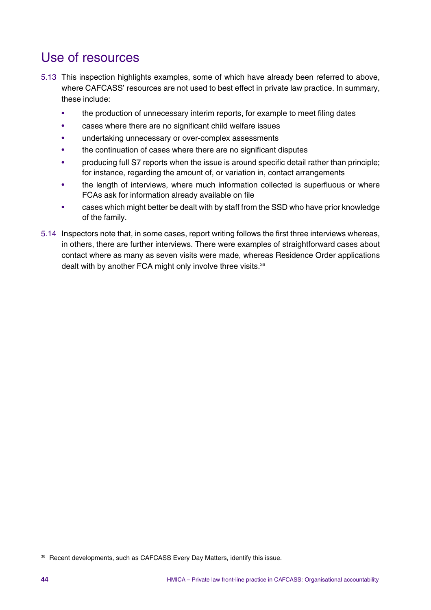## Use of resources

- 5.13 This inspection highlights examples, some of which have already been referred to above, where CAFCASS' resources are not used to best effect in private law practice. In summary, these include:
	- the production of unnecessary interim reports, for example to meet filing dates
	- cases where there are no significant child welfare issues
	- undertaking unnecessary or over-complex assessments
	- the continuation of cases where there are no significant disputes
	- producing full S7 reports when the issue is around specific detail rather than principle; for instance, regarding the amount of, or variation in, contact arrangements
	- the length of interviews, where much information collected is superfluous or where FCAs ask for information already available on file
	- cases which might better be dealt with by staff from the SSD who have prior knowledge of the family.
- 5.14 Inspectors note that, in some cases, report writing follows the first three interviews whereas, in others, there are further interviews. There were examples of straightforward cases about contact where as many as seven visits were made, whereas Residence Order applications dealt with by another FCA might only involve three visits.<sup>36</sup>

<sup>36</sup> Recent developments, such as CAFCASS Every Day Matters, identify this issue.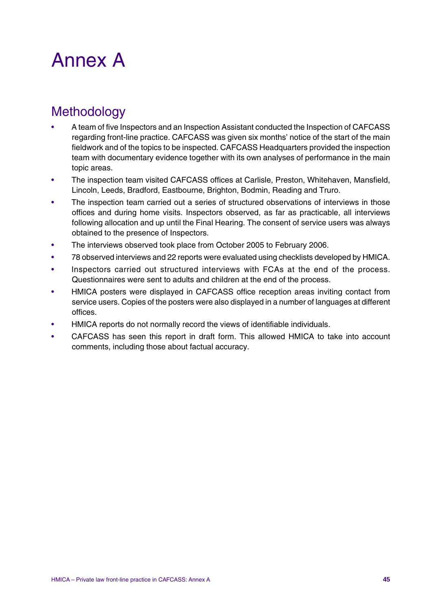# Annex A

# **Methodology**

- A team of five Inspectors and an Inspection Assistant conducted the Inspection of CAFCASS regarding front-line practice. CAFCASS was given six months' notice of the start of the main fieldwork and of the topics to be inspected. CAFCASS Headquarters provided the inspection team with documentary evidence together with its own analyses of performance in the main topic areas.
- The inspection team visited CAFCASS offices at Carlisle, Preston, Whitehaven, Mansfield, Lincoln, Leeds, Bradford, Eastbourne, Brighton, Bodmin, Reading and Truro.
- The inspection team carried out a series of structured observations of interviews in those offices and during home visits. Inspectors observed, as far as practicable, all interviews following allocation and up until the Final Hearing. The consent of service users was always obtained to the presence of Inspectors.
- The interviews observed took place from October 2005 to February 2006.
- 78 observed interviews and 22 reports were evaluated using checklists developed by HMICA.
- Inspectors carried out structured interviews with FCAs at the end of the process. Questionnaires were sent to adults and children at the end of the process.
- HMICA posters were displayed in CAFCASS office reception areas inviting contact from service users. Copies of the posters were also displayed in a number of languages at different offices.
- HMICA reports do not normally record the views of identifiable individuals.
- CAFCASS has seen this report in draft form. This allowed HMICA to take into account comments, including those about factual accuracy.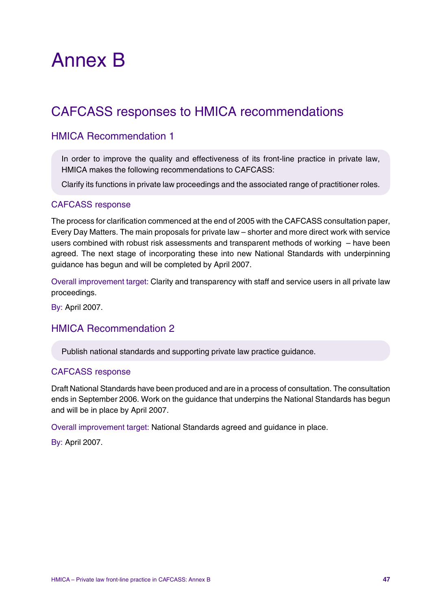# Annex B

# CAFCASS responses to HMICA recommendations

## HMICA Recommendation 1

In order to improve the quality and effectiveness of its front-line practice in private law, HMICA makes the following recommendations to CAFCASS:

Clarify its functions in private law proceedings and the associated range of practitioner roles.

#### CAFCASS response

The process for clarification commenced at the end of 2005 with the CAFCASS consultation paper, Every Day Matters. The main proposals for private law – shorter and more direct work with service users combined with robust risk assessments and transparent methods of working – have been agreed. The next stage of incorporating these into new National Standards with underpinning guidance has begun and will be completed by April 2007.

Overall improvement target: Clarity and transparency with staff and service users in all private law proceedings.

By: April 2007.

### HMICA Recommendation 2

Publish national standards and supporting private law practice guidance.

#### CAFCASS response

Draft National Standards have been produced and are in a process of consultation. The consultation ends in September 2006. Work on the guidance that underpins the National Standards has begun and will be in place by April 2007.

Overall improvement target: National Standards agreed and guidance in place.

By: April 2007.